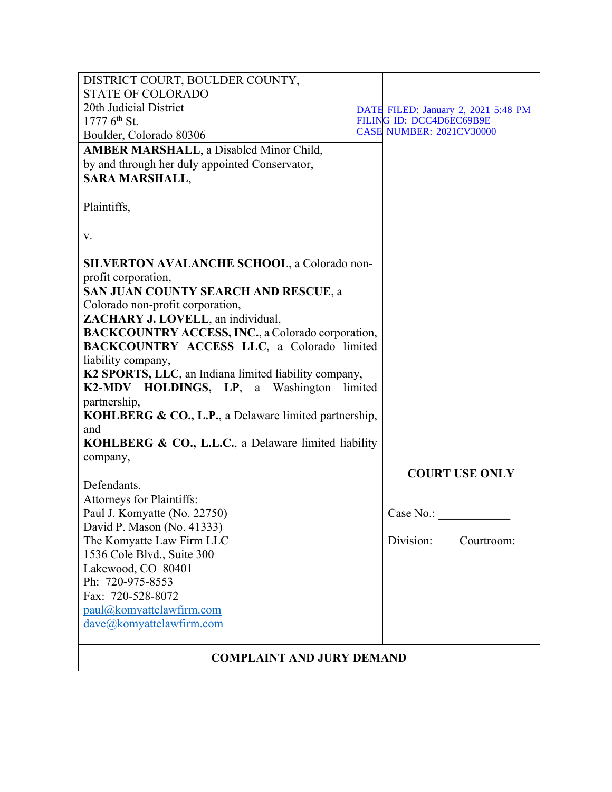| DISTRICT COURT, BOULDER COUNTY,                                  |  |                                     |
|------------------------------------------------------------------|--|-------------------------------------|
| <b>STATE OF COLORADO</b>                                         |  |                                     |
| 20th Judicial District                                           |  | DATE FILED: January 2, 2021 5:48 PM |
| $17776^{\text{th}}$ St.                                          |  | FILING ID: DCC4D6EC69B9E            |
| Boulder, Colorado 80306                                          |  | <b>CASE NUMBER: 2021CV30000</b>     |
| <b>AMBER MARSHALL</b> , a Disabled Minor Child,                  |  |                                     |
| by and through her duly appointed Conservator,                   |  |                                     |
| <b>SARA MARSHALL,</b>                                            |  |                                     |
| Plaintiffs,                                                      |  |                                     |
| V.                                                               |  |                                     |
| SILVERTON AVALANCHE SCHOOL, a Colorado non-                      |  |                                     |
| profit corporation,                                              |  |                                     |
| SAN JUAN COUNTY SEARCH AND RESCUE, a                             |  |                                     |
| Colorado non-profit corporation,                                 |  |                                     |
| ZACHARY J. LOVELL, an individual,                                |  |                                     |
| <b>BACKCOUNTRY ACCESS, INC., a Colorado corporation,</b>         |  |                                     |
| BACKCOUNTRY ACCESS LLC, a Colorado limited                       |  |                                     |
| liability company,                                               |  |                                     |
| K2 SPORTS, LLC, an Indiana limited liability company,            |  |                                     |
| K2-MDV HOLDINGS, LP, a Washington limited                        |  |                                     |
| partnership,                                                     |  |                                     |
| <b>KOHLBERG &amp; CO., L.P., a Delaware limited partnership,</b> |  |                                     |
| and                                                              |  |                                     |
| <b>KOHLBERG &amp; CO., L.L.C., a Delaware limited liability</b>  |  |                                     |
| company,                                                         |  |                                     |
| Defendants.                                                      |  | <b>COURT USE ONLY</b>               |
| Attorneys for Plaintiffs:                                        |  |                                     |
| Paul J. Komyatte (No. 22750)                                     |  | Case No.:                           |
| David P. Mason (No. 41333)                                       |  |                                     |
| The Komyatte Law Firm LLC                                        |  | Division:<br>Courtroom:             |
| 1536 Cole Blvd., Suite 300                                       |  |                                     |
| Lakewood, CO 80401                                               |  |                                     |
| Ph: 720-975-8553                                                 |  |                                     |
| Fax: 720-528-8072                                                |  |                                     |
| paul@komyattelawfirm.com                                         |  |                                     |
| dave@komyattelawfirm.com                                         |  |                                     |
|                                                                  |  |                                     |
| <b>COMPLAINT AND JURY DEMAND</b>                                 |  |                                     |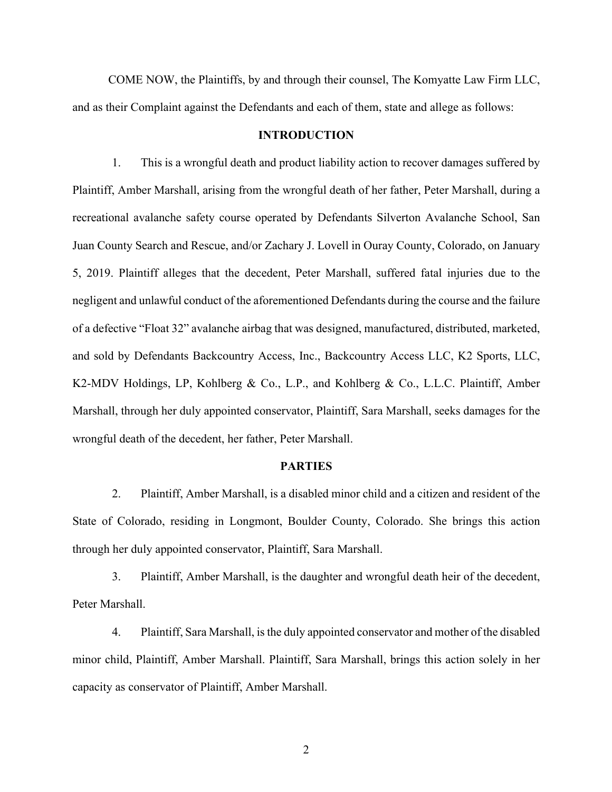COME NOW, the Plaintiffs, by and through their counsel, The Komyatte Law Firm LLC, and as their Complaint against the Defendants and each of them, state and allege as follows:

#### **INTRODUCTION**

1. This is a wrongful death and product liability action to recover damages suffered by Plaintiff, Amber Marshall, arising from the wrongful death of her father, Peter Marshall, during a recreational avalanche safety course operated by Defendants Silverton Avalanche School, San Juan County Search and Rescue, and/or Zachary J. Lovell in Ouray County, Colorado, on January 5, 2019. Plaintiff alleges that the decedent, Peter Marshall, suffered fatal injuries due to the negligent and unlawful conduct of the aforementioned Defendants during the course and the failure of a defective "Float 32" avalanche airbag that was designed, manufactured, distributed, marketed, and sold by Defendants Backcountry Access, Inc., Backcountry Access LLC, K2 Sports, LLC, K2-MDV Holdings, LP, Kohlberg & Co., L.P., and Kohlberg & Co., L.L.C. Plaintiff, Amber Marshall, through her duly appointed conservator, Plaintiff, Sara Marshall, seeks damages for the wrongful death of the decedent, her father, Peter Marshall.

#### **PARTIES**

2. Plaintiff, Amber Marshall, is a disabled minor child and a citizen and resident of the State of Colorado, residing in Longmont, Boulder County, Colorado. She brings this action through her duly appointed conservator, Plaintiff, Sara Marshall.

3. Plaintiff, Amber Marshall, is the daughter and wrongful death heir of the decedent, Peter Marshall.

4. Plaintiff, Sara Marshall, is the duly appointed conservator and mother of the disabled minor child, Plaintiff, Amber Marshall. Plaintiff, Sara Marshall, brings this action solely in her capacity as conservator of Plaintiff, Amber Marshall.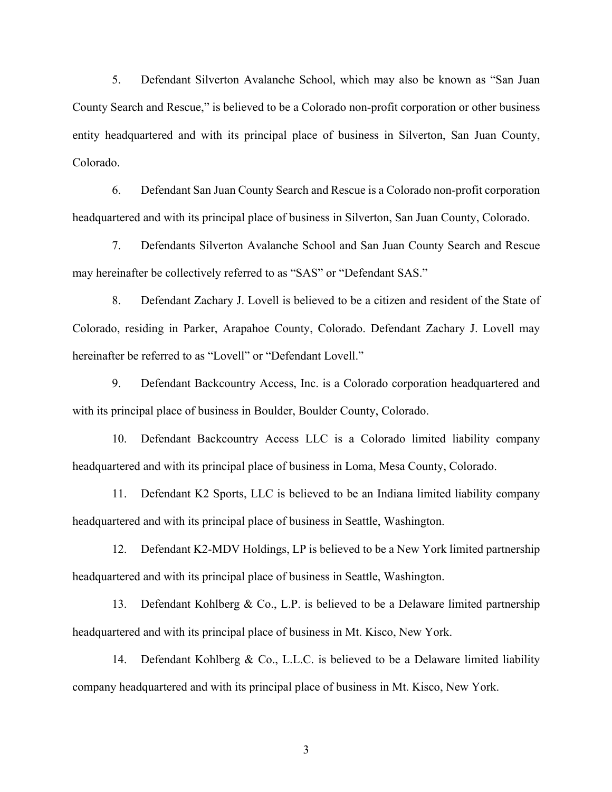5. Defendant Silverton Avalanche School, which may also be known as "San Juan County Search and Rescue," is believed to be a Colorado non-profit corporation or other business entity headquartered and with its principal place of business in Silverton, San Juan County, Colorado.

6. Defendant San Juan County Search and Rescue is a Colorado non-profit corporation headquartered and with its principal place of business in Silverton, San Juan County, Colorado.

7. Defendants Silverton Avalanche School and San Juan County Search and Rescue may hereinafter be collectively referred to as "SAS" or "Defendant SAS."

8. Defendant Zachary J. Lovell is believed to be a citizen and resident of the State of Colorado, residing in Parker, Arapahoe County, Colorado. Defendant Zachary J. Lovell may hereinafter be referred to as "Lovell" or "Defendant Lovell."

9. Defendant Backcountry Access, Inc. is a Colorado corporation headquartered and with its principal place of business in Boulder, Boulder County, Colorado.

10. Defendant Backcountry Access LLC is a Colorado limited liability company headquartered and with its principal place of business in Loma, Mesa County, Colorado.

11. Defendant K2 Sports, LLC is believed to be an Indiana limited liability company headquartered and with its principal place of business in Seattle, Washington.

12. Defendant K2-MDV Holdings, LP is believed to be a New York limited partnership headquartered and with its principal place of business in Seattle, Washington.

13. Defendant Kohlberg & Co., L.P. is believed to be a Delaware limited partnership headquartered and with its principal place of business in Mt. Kisco, New York.

14. Defendant Kohlberg & Co., L.L.C. is believed to be a Delaware limited liability company headquartered and with its principal place of business in Mt. Kisco, New York.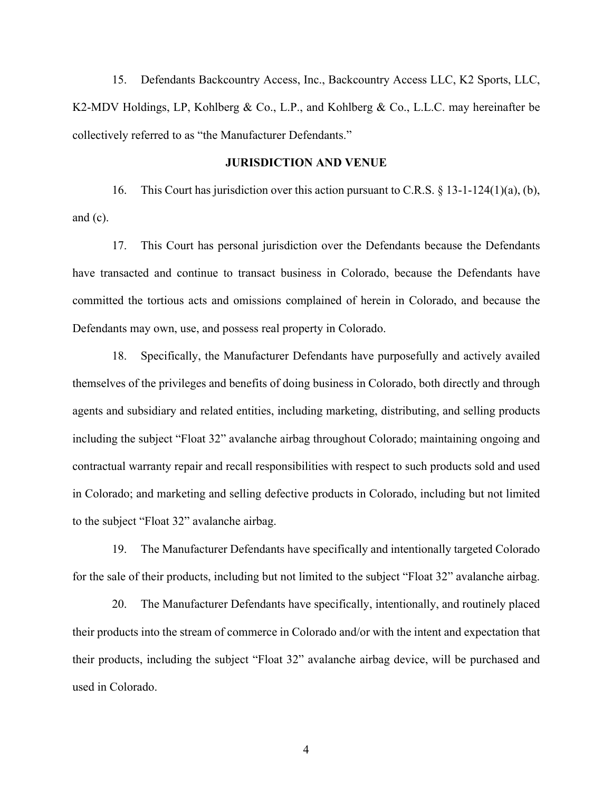15. Defendants Backcountry Access, Inc., Backcountry Access LLC, K2 Sports, LLC, K2-MDV Holdings, LP, Kohlberg & Co., L.P., and Kohlberg & Co., L.L.C. may hereinafter be collectively referred to as "the Manufacturer Defendants."

#### **JURISDICTION AND VENUE**

16. This Court has jurisdiction over this action pursuant to C.R.S. § 13-1-124(1)(a), (b), and  $(c)$ .

17. This Court has personal jurisdiction over the Defendants because the Defendants have transacted and continue to transact business in Colorado, because the Defendants have committed the tortious acts and omissions complained of herein in Colorado, and because the Defendants may own, use, and possess real property in Colorado.

18. Specifically, the Manufacturer Defendants have purposefully and actively availed themselves of the privileges and benefits of doing business in Colorado, both directly and through agents and subsidiary and related entities, including marketing, distributing, and selling products including the subject "Float 32" avalanche airbag throughout Colorado; maintaining ongoing and contractual warranty repair and recall responsibilities with respect to such products sold and used in Colorado; and marketing and selling defective products in Colorado, including but not limited to the subject "Float 32" avalanche airbag.

19. The Manufacturer Defendants have specifically and intentionally targeted Colorado for the sale of their products, including but not limited to the subject "Float 32" avalanche airbag.

20. The Manufacturer Defendants have specifically, intentionally, and routinely placed their products into the stream of commerce in Colorado and/or with the intent and expectation that their products, including the subject "Float 32" avalanche airbag device, will be purchased and used in Colorado.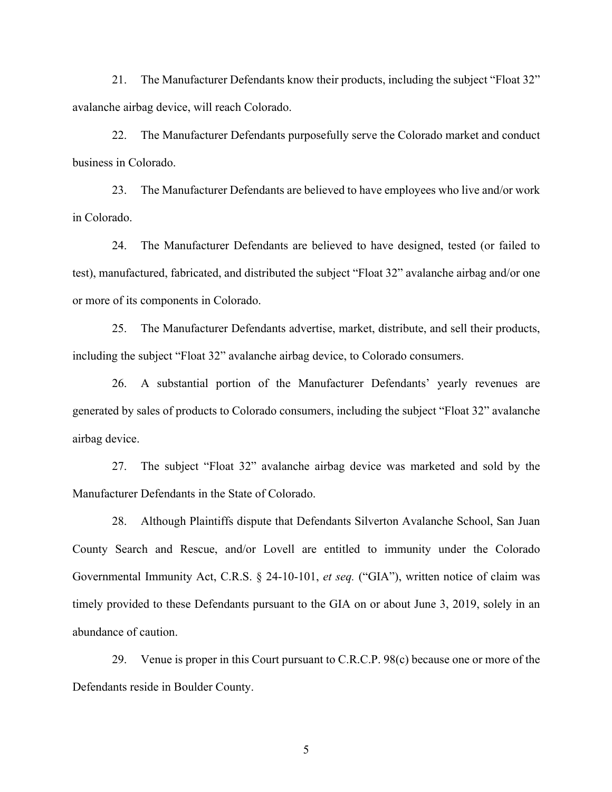21. The Manufacturer Defendants know their products, including the subject "Float 32" avalanche airbag device, will reach Colorado.

22. The Manufacturer Defendants purposefully serve the Colorado market and conduct business in Colorado.

23. The Manufacturer Defendants are believed to have employees who live and/or work in Colorado.

24. The Manufacturer Defendants are believed to have designed, tested (or failed to test), manufactured, fabricated, and distributed the subject "Float 32" avalanche airbag and/or one or more of its components in Colorado.

25. The Manufacturer Defendants advertise, market, distribute, and sell their products, including the subject "Float 32" avalanche airbag device, to Colorado consumers.

26. A substantial portion of the Manufacturer Defendants' yearly revenues are generated by sales of products to Colorado consumers, including the subject "Float 32" avalanche airbag device.

27. The subject "Float 32" avalanche airbag device was marketed and sold by the Manufacturer Defendants in the State of Colorado.

28. Although Plaintiffs dispute that Defendants Silverton Avalanche School, San Juan County Search and Rescue, and/or Lovell are entitled to immunity under the Colorado Governmental Immunity Act, C.R.S. § 24-10-101, *et seq.* ("GIA"), written notice of claim was timely provided to these Defendants pursuant to the GIA on or about June 3, 2019, solely in an abundance of caution.

29. Venue is proper in this Court pursuant to C.R.C.P. 98(c) because one or more of the Defendants reside in Boulder County.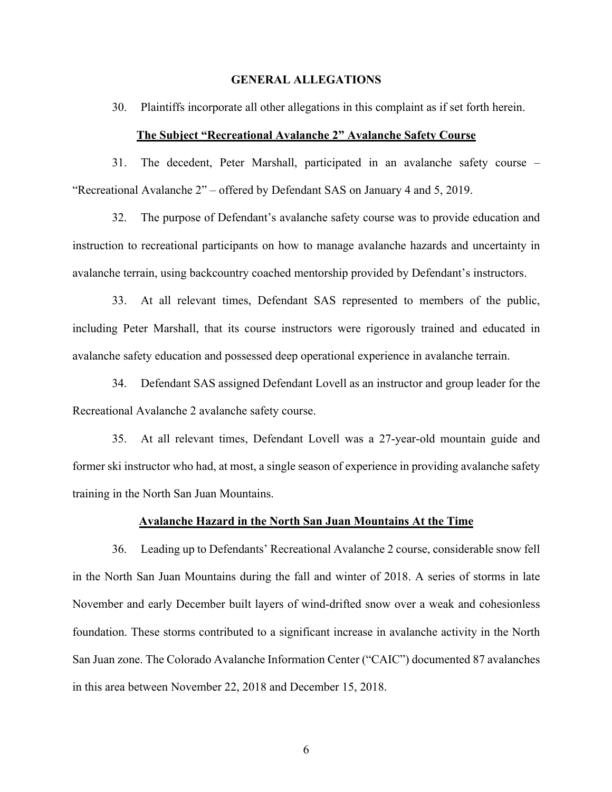#### **GENERAL ALLEGATIONS**

30. Plaintiffs incorporate all other allegations in this complaint as if set forth herein.

#### **The Subject "Recreational Avalanche 2" Avalanche Safety Course**

31. The decedent, Peter Marshall, participated in an avalanche safety course – "Recreational Avalanche 2" – offered by Defendant SAS on January 4 and 5, 2019.

32. The purpose of Defendant's avalanche safety course was to provide education and instruction to recreational participants on how to manage avalanche hazards and uncertainty in avalanche terrain, using backcountry coached mentorship provided by Defendant's instructors.

33. At all relevant times, Defendant SAS represented to members of the public, including Peter Marshall, that its course instructors were rigorously trained and educated in avalanche safety education and possessed deep operational experience in avalanche terrain.

34. Defendant SAS assigned Defendant Lovell as an instructor and group leader for the Recreational Avalanche 2 avalanche safety course.

35. At all relevant times, Defendant Lovell was a 27-year-old mountain guide and former ski instructor who had, at most, a single season of experience in providing avalanche safety training in the North San Juan Mountains.

#### **Avalanche Hazard in the North San Juan Mountains At the Time**

36. Leading up to Defendants' Recreational Avalanche 2 course, considerable snow fell in the North San Juan Mountains during the fall and winter of 2018. A series of storms in late November and early December built layers of wind-drifted snow over a weak and cohesionless foundation. These storms contributed to a significant increase in avalanche activity in the North San Juan zone. The Colorado Avalanche Information Center ("CAIC") documented 87 avalanches in this area between November 22, 2018 and December 15, 2018.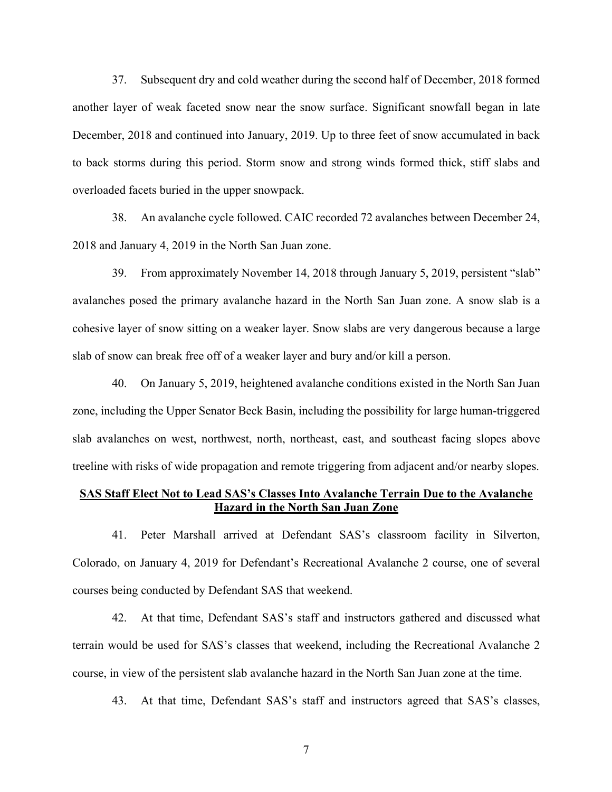37. Subsequent dry and cold weather during the second half of December, 2018 formed another layer of weak faceted snow near the snow surface. Significant snowfall began in late December, 2018 and continued into January, 2019. Up to three feet of snow accumulated in back to back storms during this period. Storm snow and strong winds formed thick, stiff slabs and overloaded facets buried in the upper snowpack.

38. An avalanche cycle followed. CAIC recorded 72 avalanches between December 24, 2018 and January 4, 2019 in the North San Juan zone.

39. From approximately November 14, 2018 through January 5, 2019, persistent "slab" avalanches posed the primary avalanche hazard in the North San Juan zone. A snow slab is a cohesive layer of snow sitting on a weaker layer. Snow slabs are very dangerous because a large slab of snow can break free off of a weaker layer and bury and/or kill a person.

40. On January 5, 2019, heightened avalanche conditions existed in the North San Juan zone, including the Upper Senator Beck Basin, including the possibility for large human-triggered slab avalanches on west, northwest, north, northeast, east, and southeast facing slopes above treeline with risks of wide propagation and remote triggering from adjacent and/or nearby slopes.

## **SAS Staff Elect Not to Lead SAS's Classes Into Avalanche Terrain Due to the Avalanche Hazard in the North San Juan Zone**

41. Peter Marshall arrived at Defendant SAS's classroom facility in Silverton, Colorado, on January 4, 2019 for Defendant's Recreational Avalanche 2 course, one of several courses being conducted by Defendant SAS that weekend.

42. At that time, Defendant SAS's staff and instructors gathered and discussed what terrain would be used for SAS's classes that weekend, including the Recreational Avalanche 2 course, in view of the persistent slab avalanche hazard in the North San Juan zone at the time.

43. At that time, Defendant SAS's staff and instructors agreed that SAS's classes,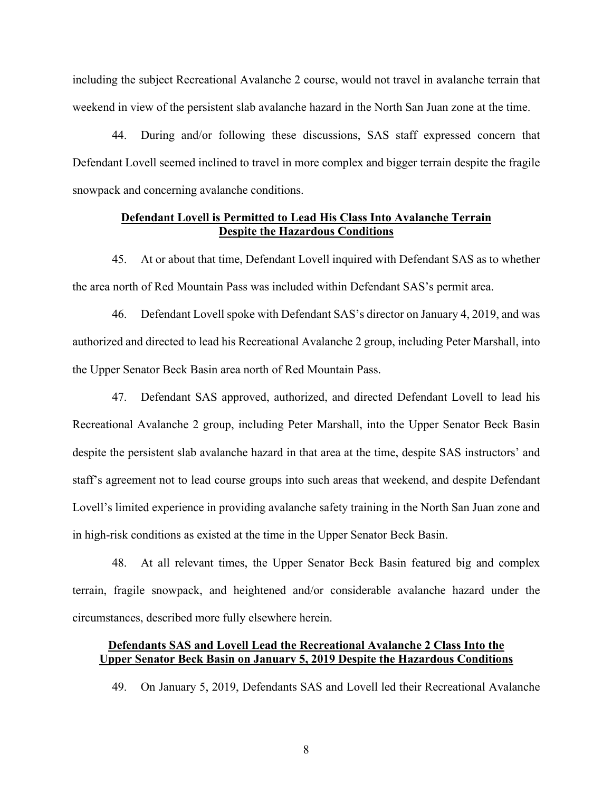including the subject Recreational Avalanche 2 course, would not travel in avalanche terrain that weekend in view of the persistent slab avalanche hazard in the North San Juan zone at the time.

44. During and/or following these discussions, SAS staff expressed concern that Defendant Lovell seemed inclined to travel in more complex and bigger terrain despite the fragile snowpack and concerning avalanche conditions.

# **Defendant Lovell is Permitted to Lead His Class Into Avalanche Terrain Despite the Hazardous Conditions**

45. At or about that time, Defendant Lovell inquired with Defendant SAS as to whether the area north of Red Mountain Pass was included within Defendant SAS's permit area.

46. Defendant Lovell spoke with Defendant SAS's director on January 4, 2019, and was authorized and directed to lead his Recreational Avalanche 2 group, including Peter Marshall, into the Upper Senator Beck Basin area north of Red Mountain Pass.

47. Defendant SAS approved, authorized, and directed Defendant Lovell to lead his Recreational Avalanche 2 group, including Peter Marshall, into the Upper Senator Beck Basin despite the persistent slab avalanche hazard in that area at the time, despite SAS instructors' and staff's agreement not to lead course groups into such areas that weekend, and despite Defendant Lovell's limited experience in providing avalanche safety training in the North San Juan zone and in high-risk conditions as existed at the time in the Upper Senator Beck Basin.

48. At all relevant times, the Upper Senator Beck Basin featured big and complex terrain, fragile snowpack, and heightened and/or considerable avalanche hazard under the circumstances, described more fully elsewhere herein.

# **Defendants SAS and Lovell Lead the Recreational Avalanche 2 Class Into the Upper Senator Beck Basin on January 5, 2019 Despite the Hazardous Conditions**

49. On January 5, 2019, Defendants SAS and Lovell led their Recreational Avalanche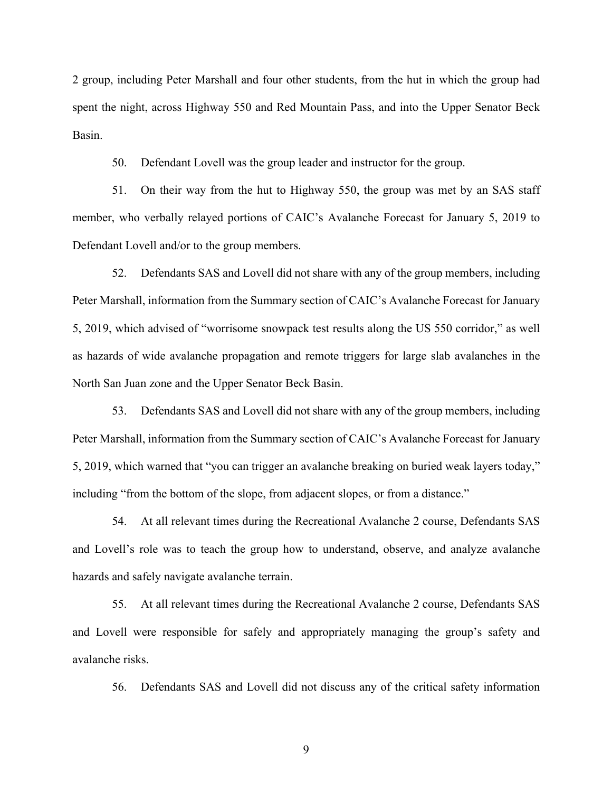2 group, including Peter Marshall and four other students, from the hut in which the group had spent the night, across Highway 550 and Red Mountain Pass, and into the Upper Senator Beck Basin.

50. Defendant Lovell was the group leader and instructor for the group.

51. On their way from the hut to Highway 550, the group was met by an SAS staff member, who verbally relayed portions of CAIC's Avalanche Forecast for January 5, 2019 to Defendant Lovell and/or to the group members.

52. Defendants SAS and Lovell did not share with any of the group members, including Peter Marshall, information from the Summary section of CAIC's Avalanche Forecast for January 5, 2019, which advised of "worrisome snowpack test results along the US 550 corridor," as well as hazards of wide avalanche propagation and remote triggers for large slab avalanches in the North San Juan zone and the Upper Senator Beck Basin.

53. Defendants SAS and Lovell did not share with any of the group members, including Peter Marshall, information from the Summary section of CAIC's Avalanche Forecast for January 5, 2019, which warned that "you can trigger an avalanche breaking on buried weak layers today," including "from the bottom of the slope, from adjacent slopes, or from a distance."

54. At all relevant times during the Recreational Avalanche 2 course, Defendants SAS and Lovell's role was to teach the group how to understand, observe, and analyze avalanche hazards and safely navigate avalanche terrain.

55. At all relevant times during the Recreational Avalanche 2 course, Defendants SAS and Lovell were responsible for safely and appropriately managing the group's safety and avalanche risks.

56. Defendants SAS and Lovell did not discuss any of the critical safety information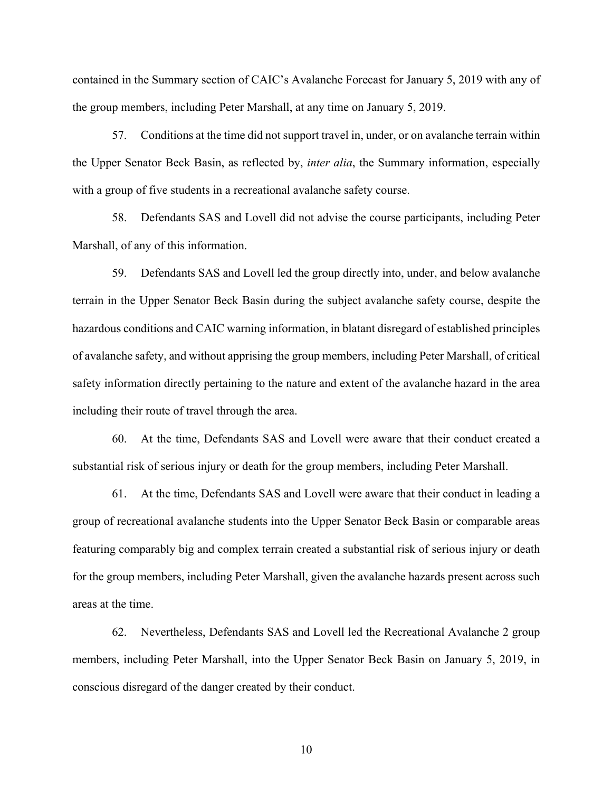contained in the Summary section of CAIC's Avalanche Forecast for January 5, 2019 with any of the group members, including Peter Marshall, at any time on January 5, 2019.

57. Conditions at the time did not support travel in, under, or on avalanche terrain within the Upper Senator Beck Basin, as reflected by, *inter alia*, the Summary information, especially with a group of five students in a recreational avalanche safety course.

58. Defendants SAS and Lovell did not advise the course participants, including Peter Marshall, of any of this information.

59. Defendants SAS and Lovell led the group directly into, under, and below avalanche terrain in the Upper Senator Beck Basin during the subject avalanche safety course, despite the hazardous conditions and CAIC warning information, in blatant disregard of established principles of avalanche safety, and without apprising the group members, including Peter Marshall, of critical safety information directly pertaining to the nature and extent of the avalanche hazard in the area including their route of travel through the area.

60. At the time, Defendants SAS and Lovell were aware that their conduct created a substantial risk of serious injury or death for the group members, including Peter Marshall.

61. At the time, Defendants SAS and Lovell were aware that their conduct in leading a group of recreational avalanche students into the Upper Senator Beck Basin or comparable areas featuring comparably big and complex terrain created a substantial risk of serious injury or death for the group members, including Peter Marshall, given the avalanche hazards present across such areas at the time.

62. Nevertheless, Defendants SAS and Lovell led the Recreational Avalanche 2 group members, including Peter Marshall, into the Upper Senator Beck Basin on January 5, 2019, in conscious disregard of the danger created by their conduct.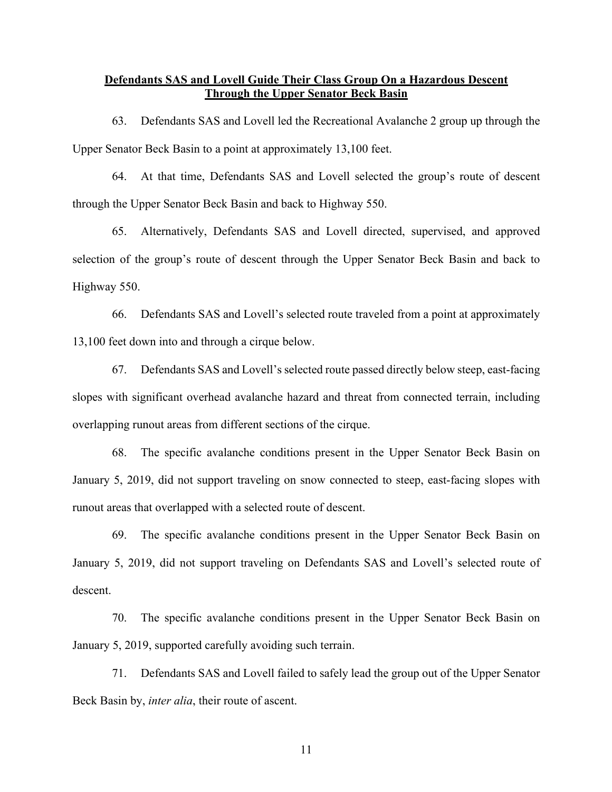# **Defendants SAS and Lovell Guide Their Class Group On a Hazardous Descent Through the Upper Senator Beck Basin**

63. Defendants SAS and Lovell led the Recreational Avalanche 2 group up through the Upper Senator Beck Basin to a point at approximately 13,100 feet.

64. At that time, Defendants SAS and Lovell selected the group's route of descent through the Upper Senator Beck Basin and back to Highway 550.

65. Alternatively, Defendants SAS and Lovell directed, supervised, and approved selection of the group's route of descent through the Upper Senator Beck Basin and back to Highway 550.

66. Defendants SAS and Lovell's selected route traveled from a point at approximately 13,100 feet down into and through a cirque below.

67. Defendants SAS and Lovell's selected route passed directly below steep, east-facing slopes with significant overhead avalanche hazard and threat from connected terrain, including overlapping runout areas from different sections of the cirque.

68. The specific avalanche conditions present in the Upper Senator Beck Basin on January 5, 2019, did not support traveling on snow connected to steep, east-facing slopes with runout areas that overlapped with a selected route of descent.

69. The specific avalanche conditions present in the Upper Senator Beck Basin on January 5, 2019, did not support traveling on Defendants SAS and Lovell's selected route of descent.

70. The specific avalanche conditions present in the Upper Senator Beck Basin on January 5, 2019, supported carefully avoiding such terrain.

71. Defendants SAS and Lovell failed to safely lead the group out of the Upper Senator Beck Basin by, *inter alia*, their route of ascent.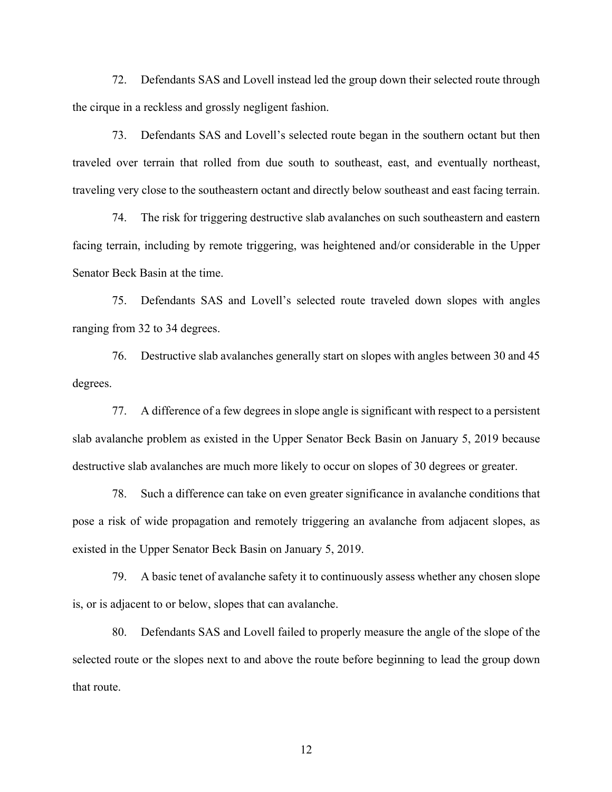72. Defendants SAS and Lovell instead led the group down their selected route through the cirque in a reckless and grossly negligent fashion.

73. Defendants SAS and Lovell's selected route began in the southern octant but then traveled over terrain that rolled from due south to southeast, east, and eventually northeast, traveling very close to the southeastern octant and directly below southeast and east facing terrain.

74. The risk for triggering destructive slab avalanches on such southeastern and eastern facing terrain, including by remote triggering, was heightened and/or considerable in the Upper Senator Beck Basin at the time.

75. Defendants SAS and Lovell's selected route traveled down slopes with angles ranging from 32 to 34 degrees.

76. Destructive slab avalanches generally start on slopes with angles between 30 and 45 degrees.

77. A difference of a few degrees in slope angle is significant with respect to a persistent slab avalanche problem as existed in the Upper Senator Beck Basin on January 5, 2019 because destructive slab avalanches are much more likely to occur on slopes of 30 degrees or greater.

78. Such a difference can take on even greater significance in avalanche conditions that pose a risk of wide propagation and remotely triggering an avalanche from adjacent slopes, as existed in the Upper Senator Beck Basin on January 5, 2019.

79. A basic tenet of avalanche safety it to continuously assess whether any chosen slope is, or is adjacent to or below, slopes that can avalanche.

80. Defendants SAS and Lovell failed to properly measure the angle of the slope of the selected route or the slopes next to and above the route before beginning to lead the group down that route.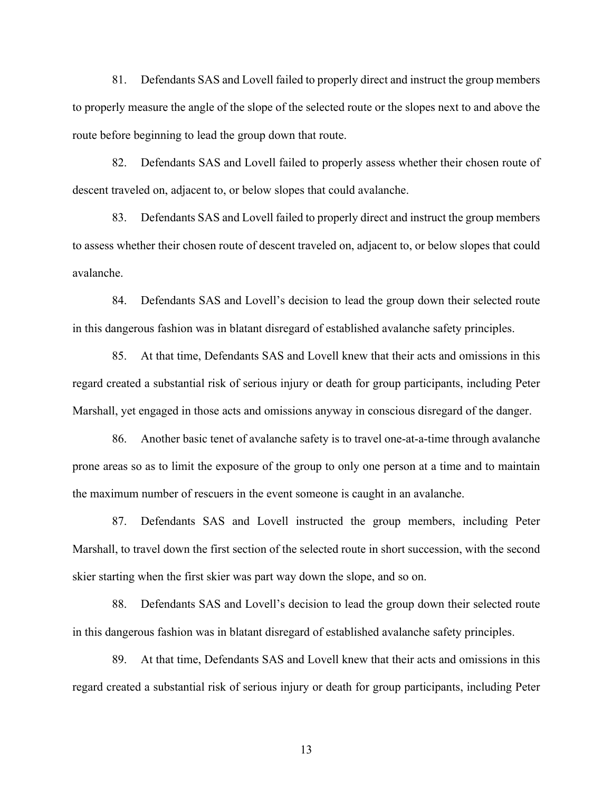81. Defendants SAS and Lovell failed to properly direct and instruct the group members to properly measure the angle of the slope of the selected route or the slopes next to and above the route before beginning to lead the group down that route.

82. Defendants SAS and Lovell failed to properly assess whether their chosen route of descent traveled on, adjacent to, or below slopes that could avalanche.

83. Defendants SAS and Lovell failed to properly direct and instruct the group members to assess whether their chosen route of descent traveled on, adjacent to, or below slopes that could avalanche.

84. Defendants SAS and Lovell's decision to lead the group down their selected route in this dangerous fashion was in blatant disregard of established avalanche safety principles.

85. At that time, Defendants SAS and Lovell knew that their acts and omissions in this regard created a substantial risk of serious injury or death for group participants, including Peter Marshall, yet engaged in those acts and omissions anyway in conscious disregard of the danger.

86. Another basic tenet of avalanche safety is to travel one-at-a-time through avalanche prone areas so as to limit the exposure of the group to only one person at a time and to maintain the maximum number of rescuers in the event someone is caught in an avalanche.

87. Defendants SAS and Lovell instructed the group members, including Peter Marshall, to travel down the first section of the selected route in short succession, with the second skier starting when the first skier was part way down the slope, and so on.

88. Defendants SAS and Lovell's decision to lead the group down their selected route in this dangerous fashion was in blatant disregard of established avalanche safety principles.

89. At that time, Defendants SAS and Lovell knew that their acts and omissions in this regard created a substantial risk of serious injury or death for group participants, including Peter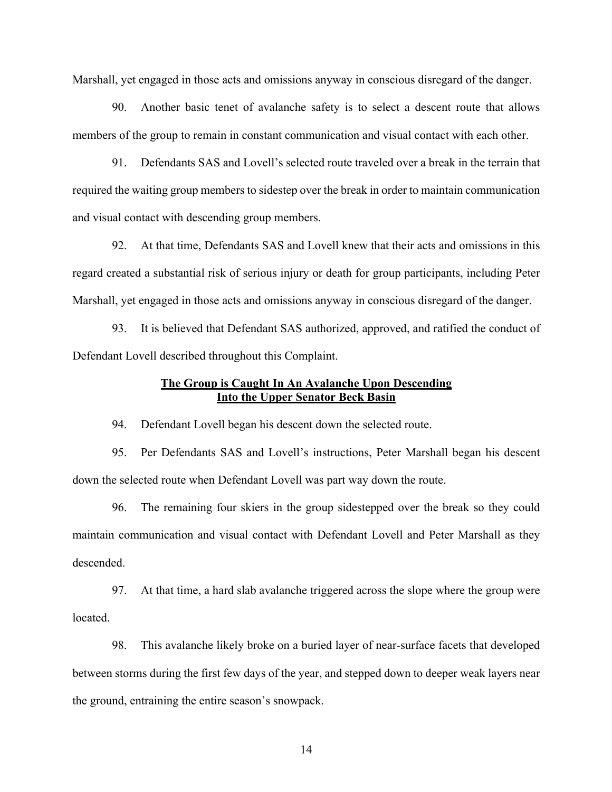Marshall, yet engaged in those acts and omissions anyway in conscious disregard of the danger.

90. Another basic tenet of avalanche safety is to select a descent route that allows members of the group to remain in constant communication and visual contact with each other.

91. Defendants SAS and Lovell's selected route traveled over a break in the terrain that required the waiting group members to sidestep over the break in order to maintain communication and visual contact with descending group members.

92. At that time, Defendants SAS and Lovell knew that their acts and omissions in this regard created a substantial risk of serious injury or death for group participants, including Peter Marshall, yet engaged in those acts and omissions anyway in conscious disregard of the danger.

93. It is believed that Defendant SAS authorized, approved, and ratified the conduct of Defendant Lovell described throughout this Complaint.

## **The Group is Caught In An Avalanche Upon Descending Into the Upper Senator Beck Basin**

94. Defendant Lovell began his descent down the selected route.

95. Per Defendants SAS and Lovell's instructions, Peter Marshall began his descent down the selected route when Defendant Lovell was part way down the route.

96. The remaining four skiers in the group sidestepped over the break so they could maintain communication and visual contact with Defendant Lovell and Peter Marshall as they descended.

97. At that time, a hard slab avalanche triggered across the slope where the group were located.

98. This avalanche likely broke on a buried layer of near-surface facets that developed between storms during the first few days of the year, and stepped down to deeper weak layers near the ground, entraining the entire season's snowpack.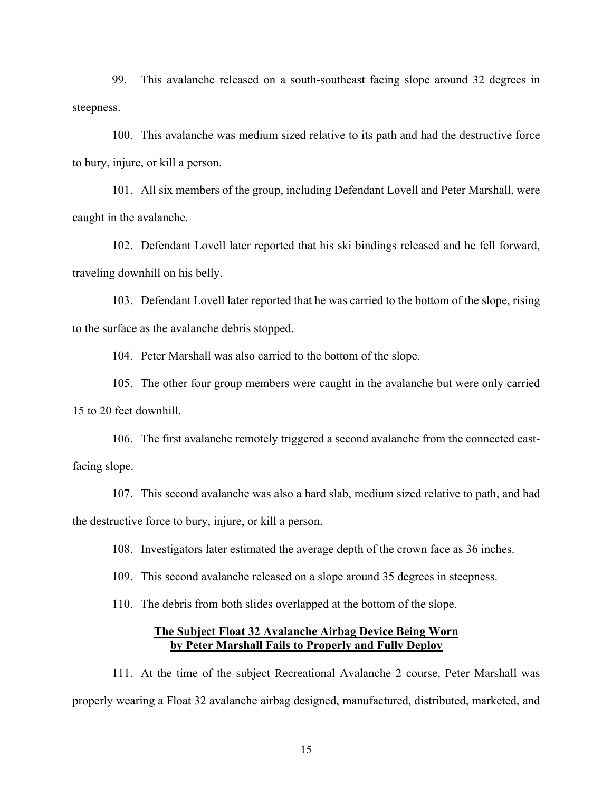99. This avalanche released on a south-southeast facing slope around 32 degrees in steepness.

100. This avalanche was medium sized relative to its path and had the destructive force to bury, injure, or kill a person.

101. All six members of the group, including Defendant Lovell and Peter Marshall, were caught in the avalanche.

102. Defendant Lovell later reported that his ski bindings released and he fell forward, traveling downhill on his belly.

103. Defendant Lovell later reported that he was carried to the bottom of the slope, rising to the surface as the avalanche debris stopped.

104. Peter Marshall was also carried to the bottom of the slope.

105. The other four group members were caught in the avalanche but were only carried 15 to 20 feet downhill.

106. The first avalanche remotely triggered a second avalanche from the connected eastfacing slope.

107. This second avalanche was also a hard slab, medium sized relative to path, and had the destructive force to bury, injure, or kill a person.

108. Investigators later estimated the average depth of the crown face as 36 inches.

109. This second avalanche released on a slope around 35 degrees in steepness.

110. The debris from both slides overlapped at the bottom of the slope.

## **The Subject Float 32 Avalanche Airbag Device Being Worn by Peter Marshall Fails to Properly and Fully Deploy**

111. At the time of the subject Recreational Avalanche 2 course, Peter Marshall was properly wearing a Float 32 avalanche airbag designed, manufactured, distributed, marketed, and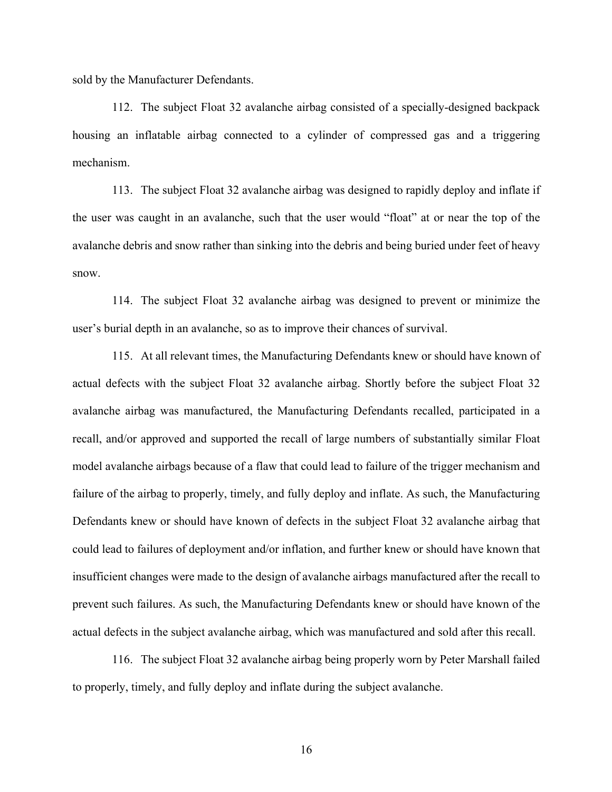sold by the Manufacturer Defendants.

112. The subject Float 32 avalanche airbag consisted of a specially-designed backpack housing an inflatable airbag connected to a cylinder of compressed gas and a triggering mechanism.

113. The subject Float 32 avalanche airbag was designed to rapidly deploy and inflate if the user was caught in an avalanche, such that the user would "float" at or near the top of the avalanche debris and snow rather than sinking into the debris and being buried under feet of heavy snow.

114. The subject Float 32 avalanche airbag was designed to prevent or minimize the user's burial depth in an avalanche, so as to improve their chances of survival.

115. At all relevant times, the Manufacturing Defendants knew or should have known of actual defects with the subject Float 32 avalanche airbag. Shortly before the subject Float 32 avalanche airbag was manufactured, the Manufacturing Defendants recalled, participated in a recall, and/or approved and supported the recall of large numbers of substantially similar Float model avalanche airbags because of a flaw that could lead to failure of the trigger mechanism and failure of the airbag to properly, timely, and fully deploy and inflate. As such, the Manufacturing Defendants knew or should have known of defects in the subject Float 32 avalanche airbag that could lead to failures of deployment and/or inflation, and further knew or should have known that insufficient changes were made to the design of avalanche airbags manufactured after the recall to prevent such failures. As such, the Manufacturing Defendants knew or should have known of the actual defects in the subject avalanche airbag, which was manufactured and sold after this recall.

116. The subject Float 32 avalanche airbag being properly worn by Peter Marshall failed to properly, timely, and fully deploy and inflate during the subject avalanche.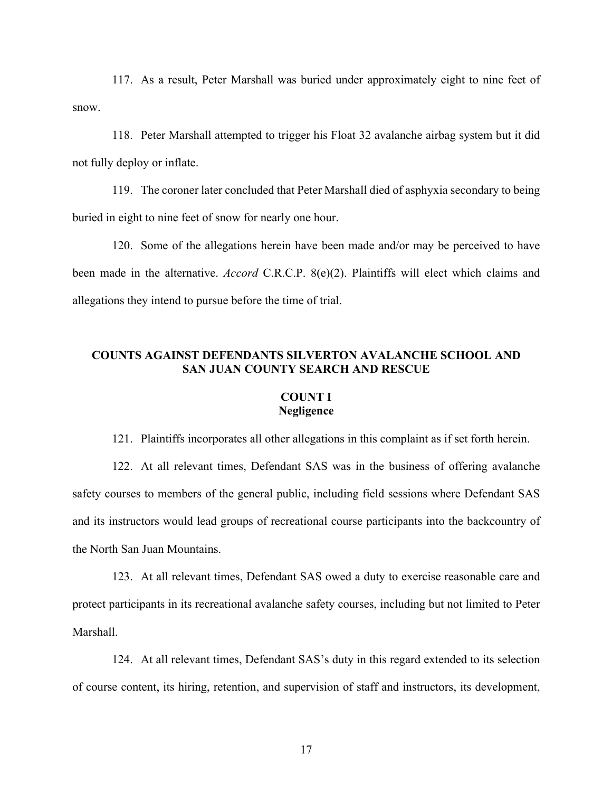117. As a result, Peter Marshall was buried under approximately eight to nine feet of snow.

118. Peter Marshall attempted to trigger his Float 32 avalanche airbag system but it did not fully deploy or inflate.

119. The coroner later concluded that Peter Marshall died of asphyxia secondary to being buried in eight to nine feet of snow for nearly one hour.

120. Some of the allegations herein have been made and/or may be perceived to have been made in the alternative. *Accord* C.R.C.P. 8(e)(2). Plaintiffs will elect which claims and allegations they intend to pursue before the time of trial.

# **COUNTS AGAINST DEFENDANTS SILVERTON AVALANCHE SCHOOL AND SAN JUAN COUNTY SEARCH AND RESCUE**

# **COUNT I Negligence**

121. Plaintiffs incorporates all other allegations in this complaint as if set forth herein.

122. At all relevant times, Defendant SAS was in the business of offering avalanche safety courses to members of the general public, including field sessions where Defendant SAS and its instructors would lead groups of recreational course participants into the backcountry of the North San Juan Mountains.

123. At all relevant times, Defendant SAS owed a duty to exercise reasonable care and protect participants in its recreational avalanche safety courses, including but not limited to Peter Marshall.

124. At all relevant times, Defendant SAS's duty in this regard extended to its selection of course content, its hiring, retention, and supervision of staff and instructors, its development,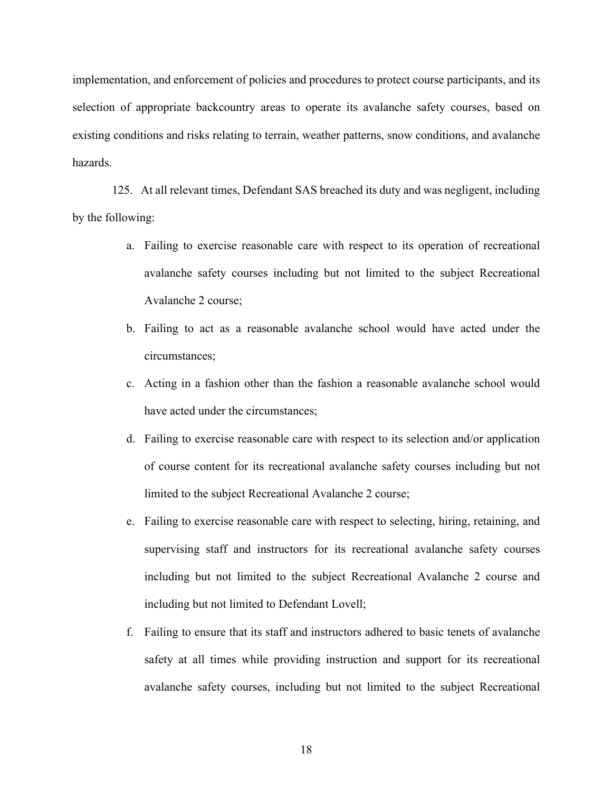implementation, and enforcement of policies and procedures to protect course participants, and its selection of appropriate backcountry areas to operate its avalanche safety courses, based on existing conditions and risks relating to terrain, weather patterns, snow conditions, and avalanche hazards.

125. At all relevant times, Defendant SAS breached its duty and was negligent, including by the following:

- a. Failing to exercise reasonable care with respect to its operation of recreational avalanche safety courses including but not limited to the subject Recreational Avalanche 2 course;
- b. Failing to act as a reasonable avalanche school would have acted under the circumstances;
- c. Acting in a fashion other than the fashion a reasonable avalanche school would have acted under the circumstances;
- d. Failing to exercise reasonable care with respect to its selection and/or application of course content for its recreational avalanche safety courses including but not limited to the subject Recreational Avalanche 2 course;
- e. Failing to exercise reasonable care with respect to selecting, hiring, retaining, and supervising staff and instructors for its recreational avalanche safety courses including but not limited to the subject Recreational Avalanche 2 course and including but not limited to Defendant Lovell;
- f. Failing to ensure that its staff and instructors adhered to basic tenets of avalanche safety at all times while providing instruction and support for its recreational avalanche safety courses, including but not limited to the subject Recreational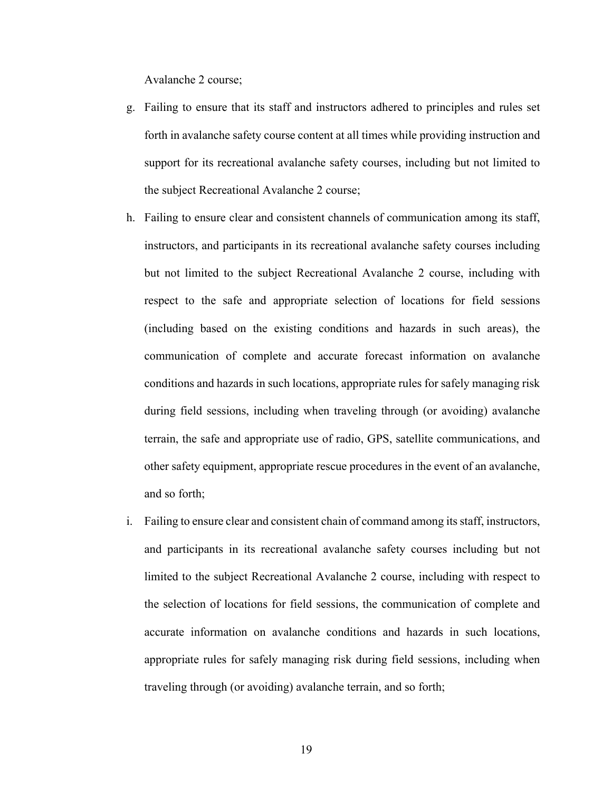Avalanche 2 course;

- g. Failing to ensure that its staff and instructors adhered to principles and rules set forth in avalanche safety course content at all times while providing instruction and support for its recreational avalanche safety courses, including but not limited to the subject Recreational Avalanche 2 course;
- h. Failing to ensure clear and consistent channels of communication among its staff, instructors, and participants in its recreational avalanche safety courses including but not limited to the subject Recreational Avalanche 2 course, including with respect to the safe and appropriate selection of locations for field sessions (including based on the existing conditions and hazards in such areas), the communication of complete and accurate forecast information on avalanche conditions and hazards in such locations, appropriate rules for safely managing risk during field sessions, including when traveling through (or avoiding) avalanche terrain, the safe and appropriate use of radio, GPS, satellite communications, and other safety equipment, appropriate rescue procedures in the event of an avalanche, and so forth;
- i. Failing to ensure clear and consistent chain of command among its staff, instructors, and participants in its recreational avalanche safety courses including but not limited to the subject Recreational Avalanche 2 course, including with respect to the selection of locations for field sessions, the communication of complete and accurate information on avalanche conditions and hazards in such locations, appropriate rules for safely managing risk during field sessions, including when traveling through (or avoiding) avalanche terrain, and so forth;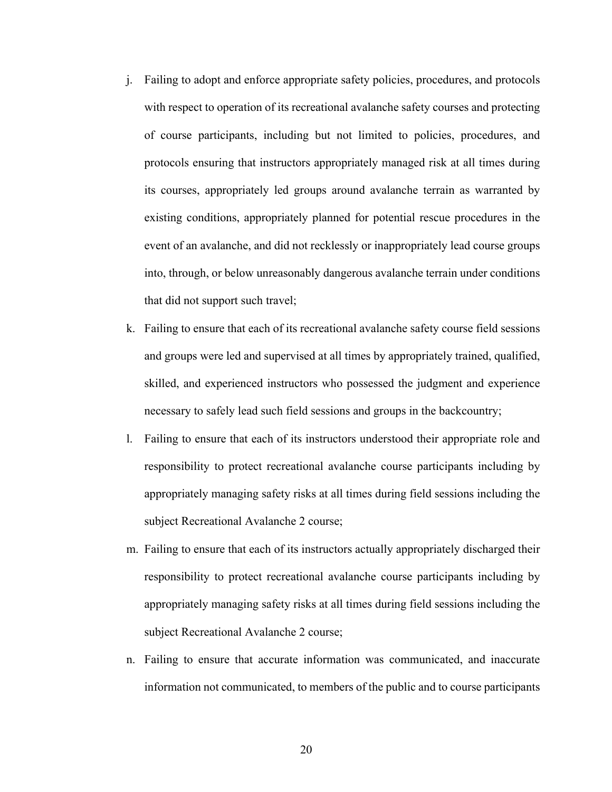- j. Failing to adopt and enforce appropriate safety policies, procedures, and protocols with respect to operation of its recreational avalanche safety courses and protecting of course participants, including but not limited to policies, procedures, and protocols ensuring that instructors appropriately managed risk at all times during its courses, appropriately led groups around avalanche terrain as warranted by existing conditions, appropriately planned for potential rescue procedures in the event of an avalanche, and did not recklessly or inappropriately lead course groups into, through, or below unreasonably dangerous avalanche terrain under conditions that did not support such travel;
- k. Failing to ensure that each of its recreational avalanche safety course field sessions and groups were led and supervised at all times by appropriately trained, qualified, skilled, and experienced instructors who possessed the judgment and experience necessary to safely lead such field sessions and groups in the backcountry;
- l. Failing to ensure that each of its instructors understood their appropriate role and responsibility to protect recreational avalanche course participants including by appropriately managing safety risks at all times during field sessions including the subject Recreational Avalanche 2 course;
- m. Failing to ensure that each of its instructors actually appropriately discharged their responsibility to protect recreational avalanche course participants including by appropriately managing safety risks at all times during field sessions including the subject Recreational Avalanche 2 course;
- n. Failing to ensure that accurate information was communicated, and inaccurate information not communicated, to members of the public and to course participants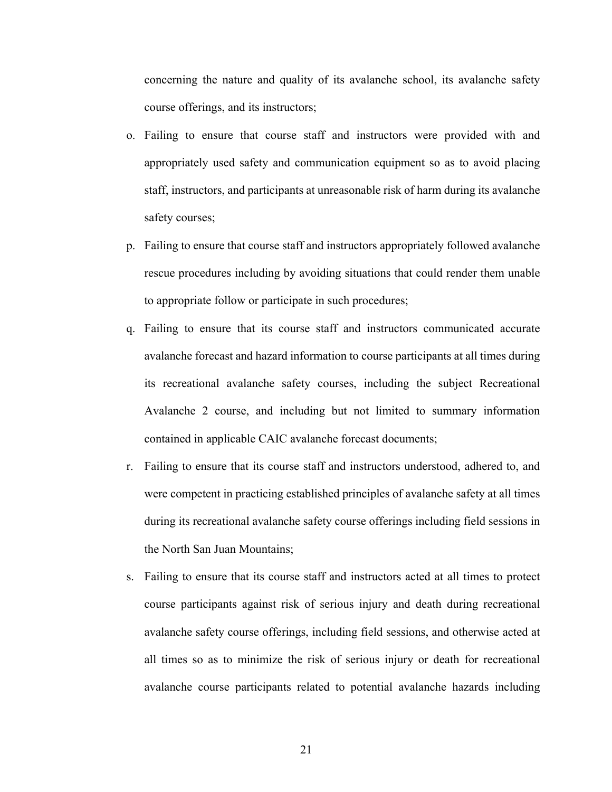concerning the nature and quality of its avalanche school, its avalanche safety course offerings, and its instructors;

- o. Failing to ensure that course staff and instructors were provided with and appropriately used safety and communication equipment so as to avoid placing staff, instructors, and participants at unreasonable risk of harm during its avalanche safety courses;
- p. Failing to ensure that course staff and instructors appropriately followed avalanche rescue procedures including by avoiding situations that could render them unable to appropriate follow or participate in such procedures;
- q. Failing to ensure that its course staff and instructors communicated accurate avalanche forecast and hazard information to course participants at all times during its recreational avalanche safety courses, including the subject Recreational Avalanche 2 course, and including but not limited to summary information contained in applicable CAIC avalanche forecast documents;
- r. Failing to ensure that its course staff and instructors understood, adhered to, and were competent in practicing established principles of avalanche safety at all times during its recreational avalanche safety course offerings including field sessions in the North San Juan Mountains;
- s. Failing to ensure that its course staff and instructors acted at all times to protect course participants against risk of serious injury and death during recreational avalanche safety course offerings, including field sessions, and otherwise acted at all times so as to minimize the risk of serious injury or death for recreational avalanche course participants related to potential avalanche hazards including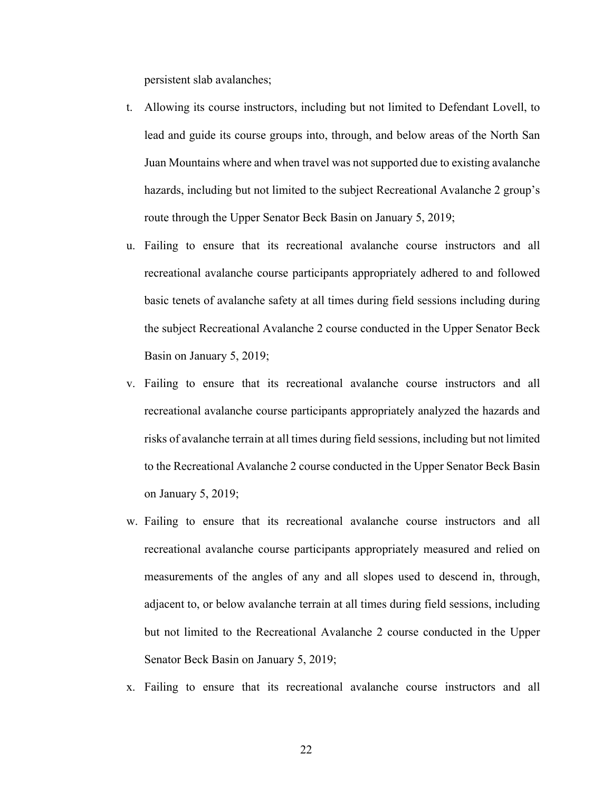persistent slab avalanches;

- t. Allowing its course instructors, including but not limited to Defendant Lovell, to lead and guide its course groups into, through, and below areas of the North San Juan Mountains where and when travel was not supported due to existing avalanche hazards, including but not limited to the subject Recreational Avalanche 2 group's route through the Upper Senator Beck Basin on January 5, 2019;
- u. Failing to ensure that its recreational avalanche course instructors and all recreational avalanche course participants appropriately adhered to and followed basic tenets of avalanche safety at all times during field sessions including during the subject Recreational Avalanche 2 course conducted in the Upper Senator Beck Basin on January 5, 2019;
- v. Failing to ensure that its recreational avalanche course instructors and all recreational avalanche course participants appropriately analyzed the hazards and risks of avalanche terrain at all times during field sessions, including but not limited to the Recreational Avalanche 2 course conducted in the Upper Senator Beck Basin on January 5, 2019;
- w. Failing to ensure that its recreational avalanche course instructors and all recreational avalanche course participants appropriately measured and relied on measurements of the angles of any and all slopes used to descend in, through, adjacent to, or below avalanche terrain at all times during field sessions, including but not limited to the Recreational Avalanche 2 course conducted in the Upper Senator Beck Basin on January 5, 2019;
- x. Failing to ensure that its recreational avalanche course instructors and all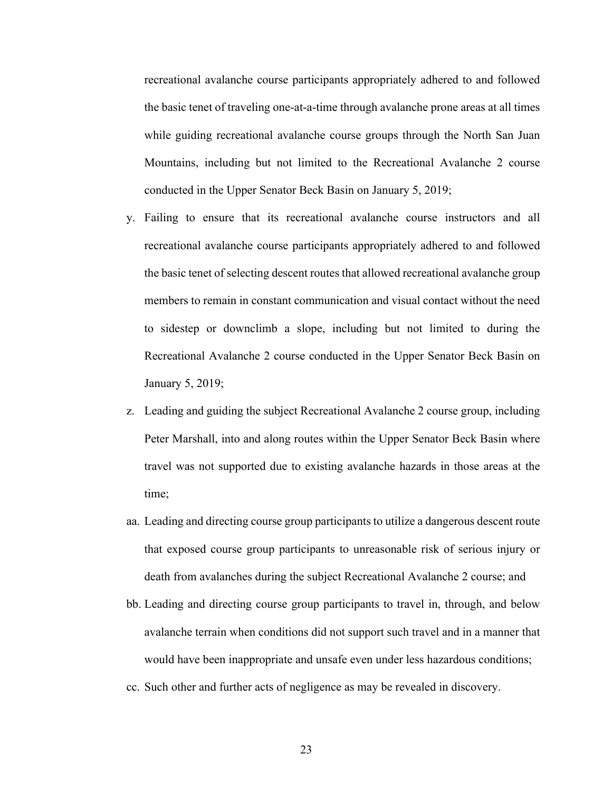recreational avalanche course participants appropriately adhered to and followed the basic tenet of traveling one-at-a-time through avalanche prone areas at all times while guiding recreational avalanche course groups through the North San Juan Mountains, including but not limited to the Recreational Avalanche 2 course conducted in the Upper Senator Beck Basin on January 5, 2019;

- y. Failing to ensure that its recreational avalanche course instructors and all recreational avalanche course participants appropriately adhered to and followed the basic tenet of selecting descent routes that allowed recreational avalanche group members to remain in constant communication and visual contact without the need to sidestep or downclimb a slope, including but not limited to during the Recreational Avalanche 2 course conducted in the Upper Senator Beck Basin on January 5, 2019;
- z. Leading and guiding the subject Recreational Avalanche 2 course group, including Peter Marshall, into and along routes within the Upper Senator Beck Basin where travel was not supported due to existing avalanche hazards in those areas at the time;
- aa. Leading and directing course group participants to utilize a dangerous descent route that exposed course group participants to unreasonable risk of serious injury or death from avalanches during the subject Recreational Avalanche 2 course; and
- bb. Leading and directing course group participants to travel in, through, and below avalanche terrain when conditions did not support such travel and in a manner that would have been inappropriate and unsafe even under less hazardous conditions;
- cc. Such other and further acts of negligence as may be revealed in discovery.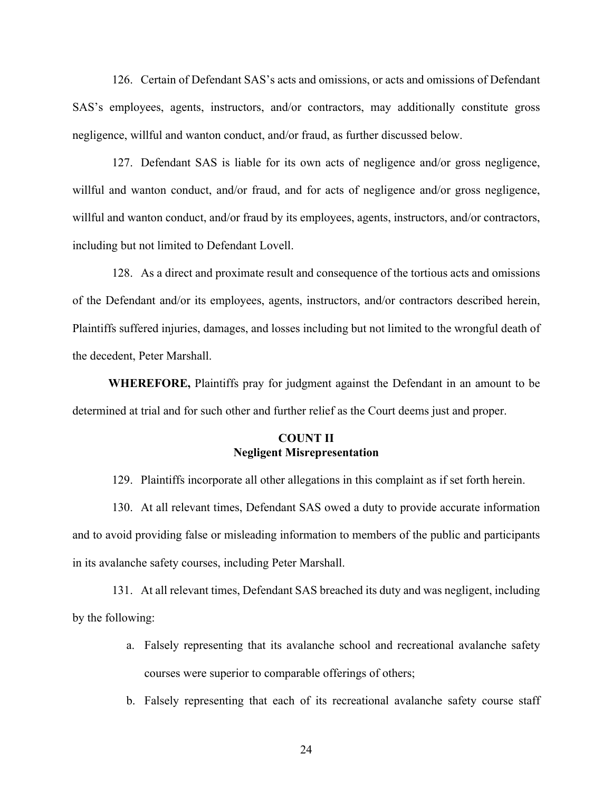126. Certain of Defendant SAS's acts and omissions, or acts and omissions of Defendant SAS's employees, agents, instructors, and/or contractors, may additionally constitute gross negligence, willful and wanton conduct, and/or fraud, as further discussed below.

127. Defendant SAS is liable for its own acts of negligence and/or gross negligence, willful and wanton conduct, and/or fraud, and for acts of negligence and/or gross negligence, willful and wanton conduct, and/or fraud by its employees, agents, instructors, and/or contractors, including but not limited to Defendant Lovell.

128. As a direct and proximate result and consequence of the tortious acts and omissions of the Defendant and/or its employees, agents, instructors, and/or contractors described herein, Plaintiffs suffered injuries, damages, and losses including but not limited to the wrongful death of the decedent, Peter Marshall.

**WHEREFORE,** Plaintiffs pray for judgment against the Defendant in an amount to be determined at trial and for such other and further relief as the Court deems just and proper.

## **COUNT II Negligent Misrepresentation**

129. Plaintiffs incorporate all other allegations in this complaint as if set forth herein.

130. At all relevant times, Defendant SAS owed a duty to provide accurate information and to avoid providing false or misleading information to members of the public and participants in its avalanche safety courses, including Peter Marshall.

131. At all relevant times, Defendant SAS breached its duty and was negligent, including by the following:

- a. Falsely representing that its avalanche school and recreational avalanche safety courses were superior to comparable offerings of others;
- b. Falsely representing that each of its recreational avalanche safety course staff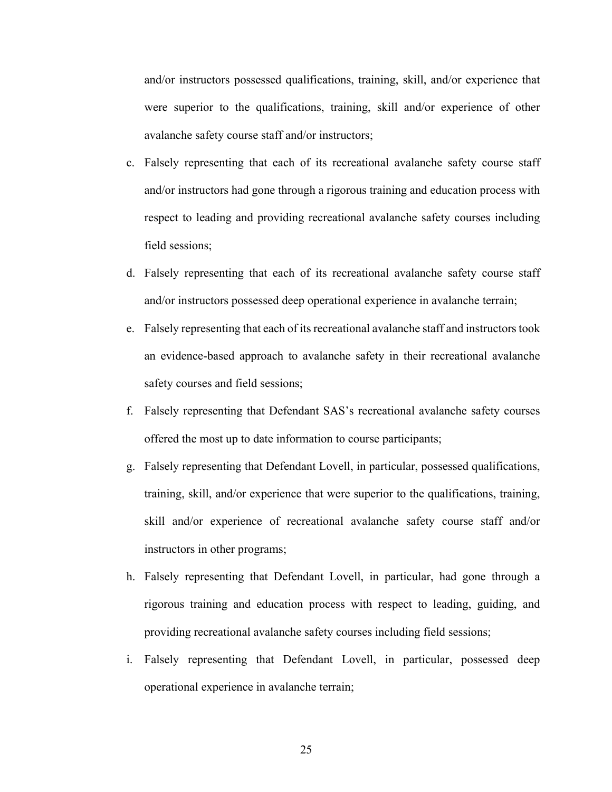and/or instructors possessed qualifications, training, skill, and/or experience that were superior to the qualifications, training, skill and/or experience of other avalanche safety course staff and/or instructors;

- c. Falsely representing that each of its recreational avalanche safety course staff and/or instructors had gone through a rigorous training and education process with respect to leading and providing recreational avalanche safety courses including field sessions;
- d. Falsely representing that each of its recreational avalanche safety course staff and/or instructors possessed deep operational experience in avalanche terrain;
- e. Falsely representing that each of its recreational avalanche staff and instructors took an evidence-based approach to avalanche safety in their recreational avalanche safety courses and field sessions;
- f. Falsely representing that Defendant SAS's recreational avalanche safety courses offered the most up to date information to course participants;
- g. Falsely representing that Defendant Lovell, in particular, possessed qualifications, training, skill, and/or experience that were superior to the qualifications, training, skill and/or experience of recreational avalanche safety course staff and/or instructors in other programs;
- h. Falsely representing that Defendant Lovell, in particular, had gone through a rigorous training and education process with respect to leading, guiding, and providing recreational avalanche safety courses including field sessions;
- i. Falsely representing that Defendant Lovell, in particular, possessed deep operational experience in avalanche terrain;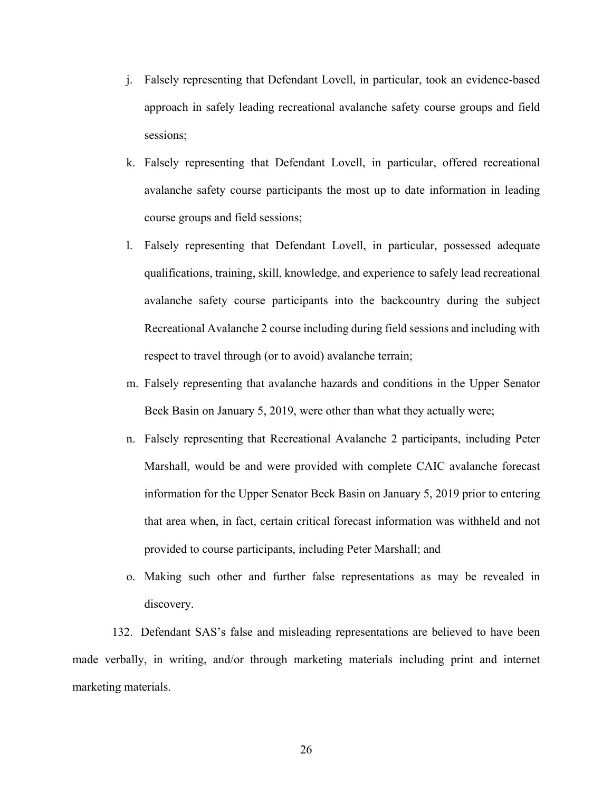- j. Falsely representing that Defendant Lovell, in particular, took an evidence-based approach in safely leading recreational avalanche safety course groups and field sessions;
- k. Falsely representing that Defendant Lovell, in particular, offered recreational avalanche safety course participants the most up to date information in leading course groups and field sessions;
- l. Falsely representing that Defendant Lovell, in particular, possessed adequate qualifications, training, skill, knowledge, and experience to safely lead recreational avalanche safety course participants into the backcountry during the subject Recreational Avalanche 2 course including during field sessions and including with respect to travel through (or to avoid) avalanche terrain;
- m. Falsely representing that avalanche hazards and conditions in the Upper Senator Beck Basin on January 5, 2019, were other than what they actually were;
- n. Falsely representing that Recreational Avalanche 2 participants, including Peter Marshall, would be and were provided with complete CAIC avalanche forecast information for the Upper Senator Beck Basin on January 5, 2019 prior to entering that area when, in fact, certain critical forecast information was withheld and not provided to course participants, including Peter Marshall; and
- o. Making such other and further false representations as may be revealed in discovery.

132. Defendant SAS's false and misleading representations are believed to have been made verbally, in writing, and/or through marketing materials including print and internet marketing materials.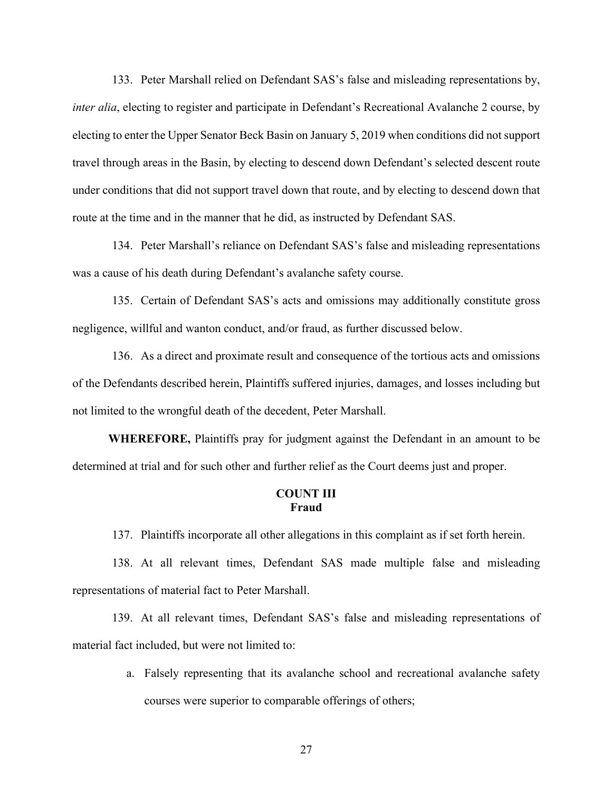133. Peter Marshall relied on Defendant SAS's false and misleading representations by, *inter alia*, electing to register and participate in Defendant's Recreational Avalanche 2 course, by electing to enter the Upper Senator Beck Basin on January 5, 2019 when conditions did not support travel through areas in the Basin, by electing to descend down Defendant's selected descent route under conditions that did not support travel down that route, and by electing to descend down that route at the time and in the manner that he did, as instructed by Defendant SAS.

134. Peter Marshall's reliance on Defendant SAS's false and misleading representations was a cause of his death during Defendant's avalanche safety course.

135. Certain of Defendant SAS's acts and omissions may additionally constitute gross negligence, willful and wanton conduct, and/or fraud, as further discussed below.

136. As a direct and proximate result and consequence of the tortious acts and omissions of the Defendants described herein, Plaintiffs suffered injuries, damages, and losses including but not limited to the wrongful death of the decedent, Peter Marshall.

**WHEREFORE,** Plaintiffs pray for judgment against the Defendant in an amount to be determined at trial and for such other and further relief as the Court deems just and proper.

## **COUNT III Fraud**

137. Plaintiffs incorporate all other allegations in this complaint as if set forth herein.

138. At all relevant times, Defendant SAS made multiple false and misleading representations of material fact to Peter Marshall.

139. At all relevant times, Defendant SAS's false and misleading representations of material fact included, but were not limited to:

> a. Falsely representing that its avalanche school and recreational avalanche safety courses were superior to comparable offerings of others;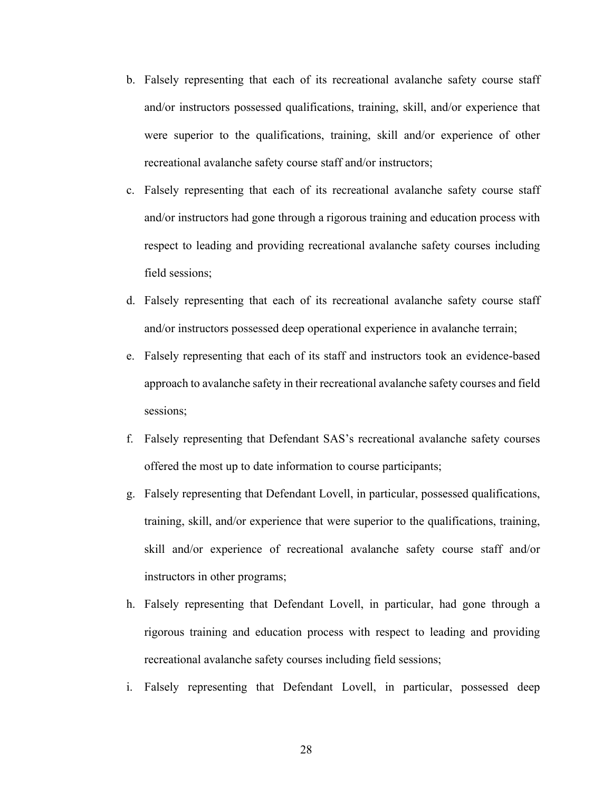- b. Falsely representing that each of its recreational avalanche safety course staff and/or instructors possessed qualifications, training, skill, and/or experience that were superior to the qualifications, training, skill and/or experience of other recreational avalanche safety course staff and/or instructors;
- c. Falsely representing that each of its recreational avalanche safety course staff and/or instructors had gone through a rigorous training and education process with respect to leading and providing recreational avalanche safety courses including field sessions;
- d. Falsely representing that each of its recreational avalanche safety course staff and/or instructors possessed deep operational experience in avalanche terrain;
- e. Falsely representing that each of its staff and instructors took an evidence-based approach to avalanche safety in their recreational avalanche safety courses and field sessions;
- f. Falsely representing that Defendant SAS's recreational avalanche safety courses offered the most up to date information to course participants;
- g. Falsely representing that Defendant Lovell, in particular, possessed qualifications, training, skill, and/or experience that were superior to the qualifications, training, skill and/or experience of recreational avalanche safety course staff and/or instructors in other programs;
- h. Falsely representing that Defendant Lovell, in particular, had gone through a rigorous training and education process with respect to leading and providing recreational avalanche safety courses including field sessions;
- i. Falsely representing that Defendant Lovell, in particular, possessed deep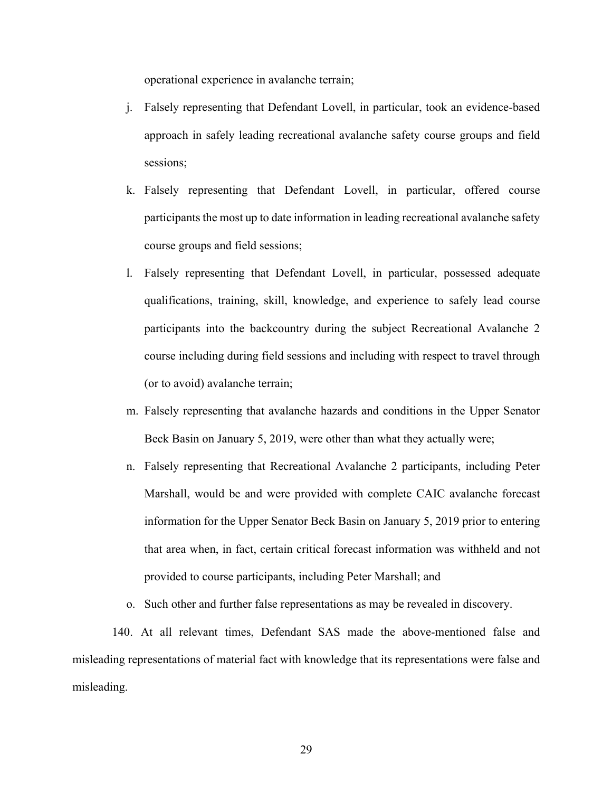operational experience in avalanche terrain;

- j. Falsely representing that Defendant Lovell, in particular, took an evidence-based approach in safely leading recreational avalanche safety course groups and field sessions;
- k. Falsely representing that Defendant Lovell, in particular, offered course participants the most up to date information in leading recreational avalanche safety course groups and field sessions;
- l. Falsely representing that Defendant Lovell, in particular, possessed adequate qualifications, training, skill, knowledge, and experience to safely lead course participants into the backcountry during the subject Recreational Avalanche 2 course including during field sessions and including with respect to travel through (or to avoid) avalanche terrain;
- m. Falsely representing that avalanche hazards and conditions in the Upper Senator Beck Basin on January 5, 2019, were other than what they actually were;
- n. Falsely representing that Recreational Avalanche 2 participants, including Peter Marshall, would be and were provided with complete CAIC avalanche forecast information for the Upper Senator Beck Basin on January 5, 2019 prior to entering that area when, in fact, certain critical forecast information was withheld and not provided to course participants, including Peter Marshall; and
- o. Such other and further false representations as may be revealed in discovery.

140. At all relevant times, Defendant SAS made the above-mentioned false and misleading representations of material fact with knowledge that its representations were false and misleading.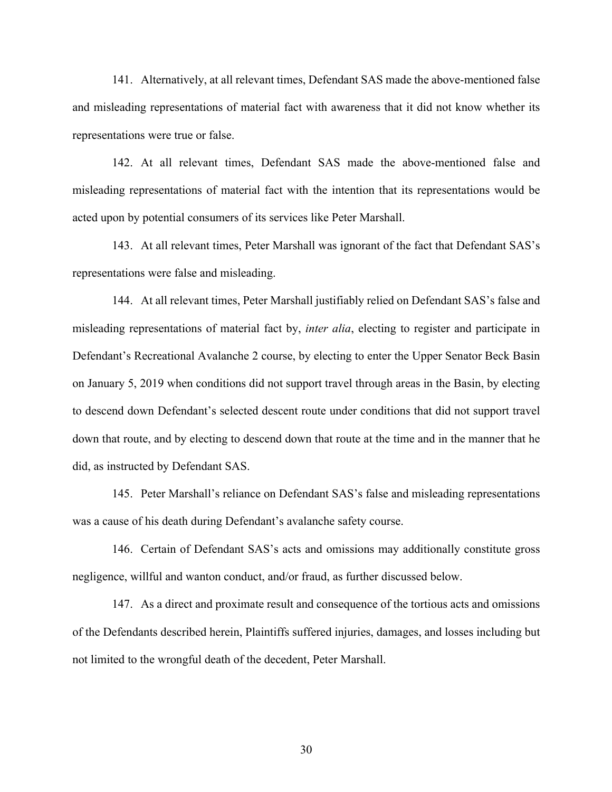141. Alternatively, at all relevant times, Defendant SAS made the above-mentioned false and misleading representations of material fact with awareness that it did not know whether its representations were true or false.

142. At all relevant times, Defendant SAS made the above-mentioned false and misleading representations of material fact with the intention that its representations would be acted upon by potential consumers of its services like Peter Marshall.

143. At all relevant times, Peter Marshall was ignorant of the fact that Defendant SAS's representations were false and misleading.

144. At all relevant times, Peter Marshall justifiably relied on Defendant SAS's false and misleading representations of material fact by, *inter alia*, electing to register and participate in Defendant's Recreational Avalanche 2 course, by electing to enter the Upper Senator Beck Basin on January 5, 2019 when conditions did not support travel through areas in the Basin, by electing to descend down Defendant's selected descent route under conditions that did not support travel down that route, and by electing to descend down that route at the time and in the manner that he did, as instructed by Defendant SAS.

145. Peter Marshall's reliance on Defendant SAS's false and misleading representations was a cause of his death during Defendant's avalanche safety course.

146. Certain of Defendant SAS's acts and omissions may additionally constitute gross negligence, willful and wanton conduct, and/or fraud, as further discussed below.

147. As a direct and proximate result and consequence of the tortious acts and omissions of the Defendants described herein, Plaintiffs suffered injuries, damages, and losses including but not limited to the wrongful death of the decedent, Peter Marshall.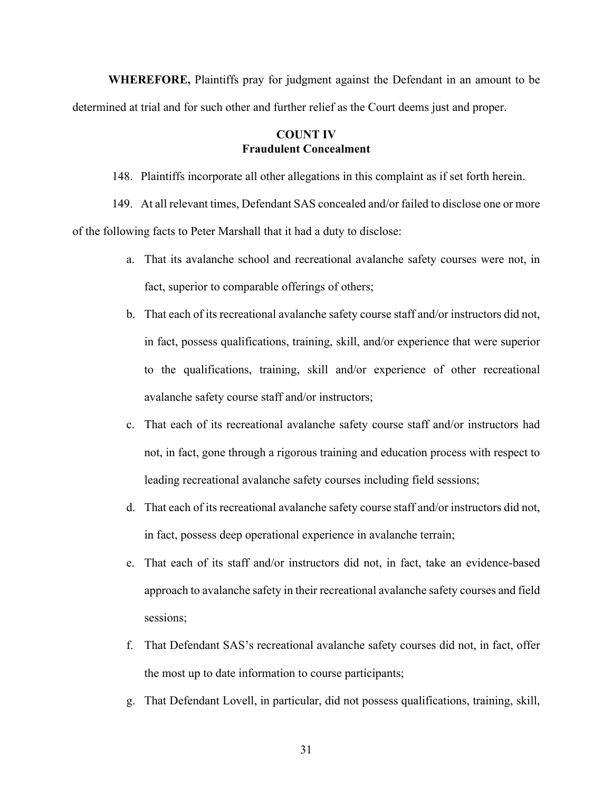**WHEREFORE,** Plaintiffs pray for judgment against the Defendant in an amount to be determined at trial and for such other and further relief as the Court deems just and proper.

# **COUNT IV Fraudulent Concealment**

148. Plaintiffs incorporate all other allegations in this complaint as if set forth herein.

149. At all relevant times, Defendant SAS concealed and/or failed to disclose one or more of the following facts to Peter Marshall that it had a duty to disclose:

- a. That its avalanche school and recreational avalanche safety courses were not, in fact, superior to comparable offerings of others;
- b. That each of its recreational avalanche safety course staff and/or instructors did not, in fact, possess qualifications, training, skill, and/or experience that were superior to the qualifications, training, skill and/or experience of other recreational avalanche safety course staff and/or instructors;
- c. That each of its recreational avalanche safety course staff and/or instructors had not, in fact, gone through a rigorous training and education process with respect to leading recreational avalanche safety courses including field sessions;
- d. That each of its recreational avalanche safety course staff and/or instructors did not, in fact, possess deep operational experience in avalanche terrain;
- e. That each of its staff and/or instructors did not, in fact, take an evidence-based approach to avalanche safety in their recreational avalanche safety courses and field sessions;
- f. That Defendant SAS's recreational avalanche safety courses did not, in fact, offer the most up to date information to course participants;
- g. That Defendant Lovell, in particular, did not possess qualifications, training, skill,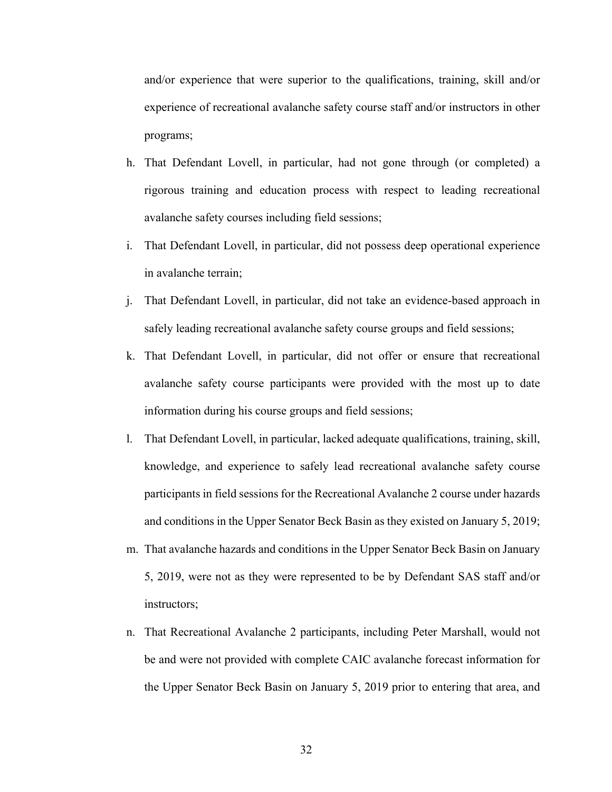and/or experience that were superior to the qualifications, training, skill and/or experience of recreational avalanche safety course staff and/or instructors in other programs;

- h. That Defendant Lovell, in particular, had not gone through (or completed) a rigorous training and education process with respect to leading recreational avalanche safety courses including field sessions;
- i. That Defendant Lovell, in particular, did not possess deep operational experience in avalanche terrain;
- j. That Defendant Lovell, in particular, did not take an evidence-based approach in safely leading recreational avalanche safety course groups and field sessions;
- k. That Defendant Lovell, in particular, did not offer or ensure that recreational avalanche safety course participants were provided with the most up to date information during his course groups and field sessions;
- l. That Defendant Lovell, in particular, lacked adequate qualifications, training, skill, knowledge, and experience to safely lead recreational avalanche safety course participants in field sessions for the Recreational Avalanche 2 course under hazards and conditions in the Upper Senator Beck Basin as they existed on January 5, 2019;
- m. That avalanche hazards and conditions in the Upper Senator Beck Basin on January 5, 2019, were not as they were represented to be by Defendant SAS staff and/or instructors;
- n. That Recreational Avalanche 2 participants, including Peter Marshall, would not be and were not provided with complete CAIC avalanche forecast information for the Upper Senator Beck Basin on January 5, 2019 prior to entering that area, and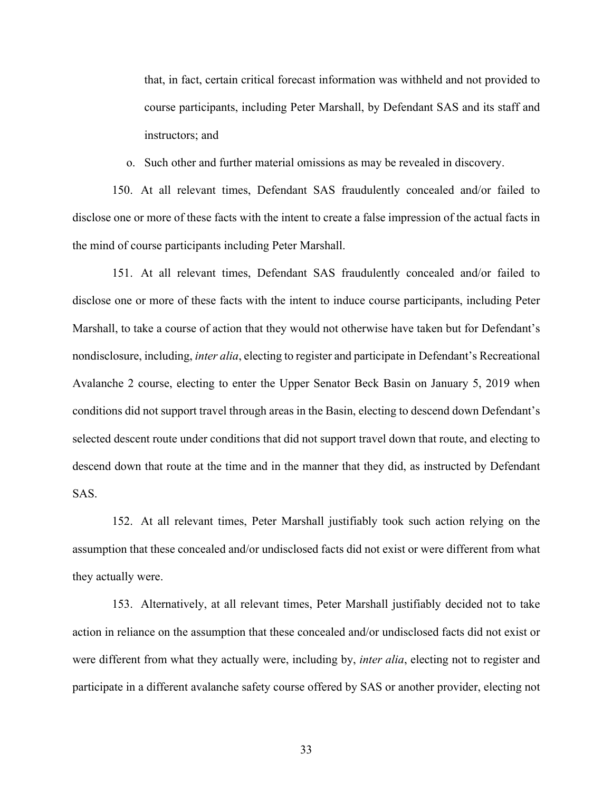that, in fact, certain critical forecast information was withheld and not provided to course participants, including Peter Marshall, by Defendant SAS and its staff and instructors; and

o. Such other and further material omissions as may be revealed in discovery.

150. At all relevant times, Defendant SAS fraudulently concealed and/or failed to disclose one or more of these facts with the intent to create a false impression of the actual facts in the mind of course participants including Peter Marshall.

151. At all relevant times, Defendant SAS fraudulently concealed and/or failed to disclose one or more of these facts with the intent to induce course participants, including Peter Marshall, to take a course of action that they would not otherwise have taken but for Defendant's nondisclosure, including, *inter alia*, electing to register and participate in Defendant's Recreational Avalanche 2 course, electing to enter the Upper Senator Beck Basin on January 5, 2019 when conditions did not support travel through areas in the Basin, electing to descend down Defendant's selected descent route under conditions that did not support travel down that route, and electing to descend down that route at the time and in the manner that they did, as instructed by Defendant SAS.

152. At all relevant times, Peter Marshall justifiably took such action relying on the assumption that these concealed and/or undisclosed facts did not exist or were different from what they actually were.

153. Alternatively, at all relevant times, Peter Marshall justifiably decided not to take action in reliance on the assumption that these concealed and/or undisclosed facts did not exist or were different from what they actually were, including by, *inter alia*, electing not to register and participate in a different avalanche safety course offered by SAS or another provider, electing not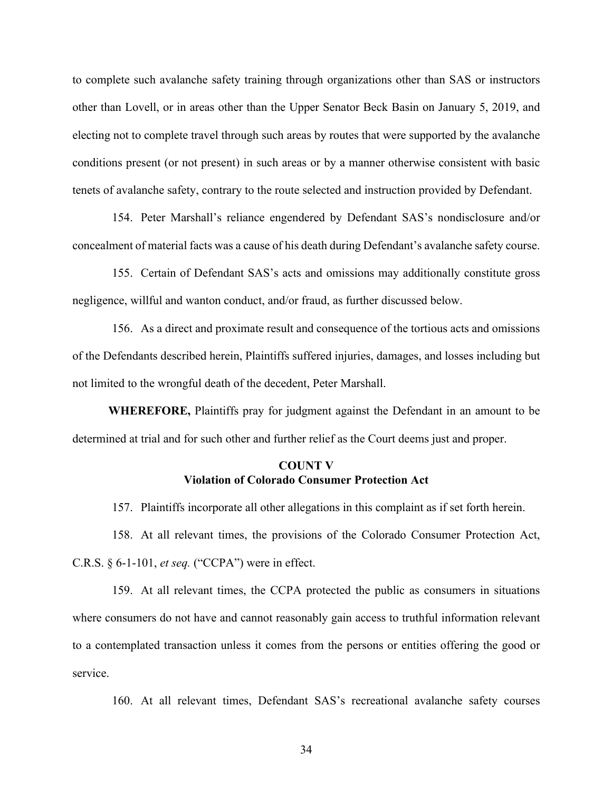to complete such avalanche safety training through organizations other than SAS or instructors other than Lovell, or in areas other than the Upper Senator Beck Basin on January 5, 2019, and electing not to complete travel through such areas by routes that were supported by the avalanche conditions present (or not present) in such areas or by a manner otherwise consistent with basic tenets of avalanche safety, contrary to the route selected and instruction provided by Defendant.

154. Peter Marshall's reliance engendered by Defendant SAS's nondisclosure and/or concealment of material facts was a cause of his death during Defendant's avalanche safety course.

155. Certain of Defendant SAS's acts and omissions may additionally constitute gross negligence, willful and wanton conduct, and/or fraud, as further discussed below.

156. As a direct and proximate result and consequence of the tortious acts and omissions of the Defendants described herein, Plaintiffs suffered injuries, damages, and losses including but not limited to the wrongful death of the decedent, Peter Marshall.

**WHEREFORE,** Plaintiffs pray for judgment against the Defendant in an amount to be determined at trial and for such other and further relief as the Court deems just and proper.

## **COUNT V Violation of Colorado Consumer Protection Act**

157. Plaintiffs incorporate all other allegations in this complaint as if set forth herein.

158. At all relevant times, the provisions of the Colorado Consumer Protection Act, C.R.S. § 6-1-101, *et seq.* ("CCPA") were in effect.

159. At all relevant times, the CCPA protected the public as consumers in situations where consumers do not have and cannot reasonably gain access to truthful information relevant to a contemplated transaction unless it comes from the persons or entities offering the good or service.

160. At all relevant times, Defendant SAS's recreational avalanche safety courses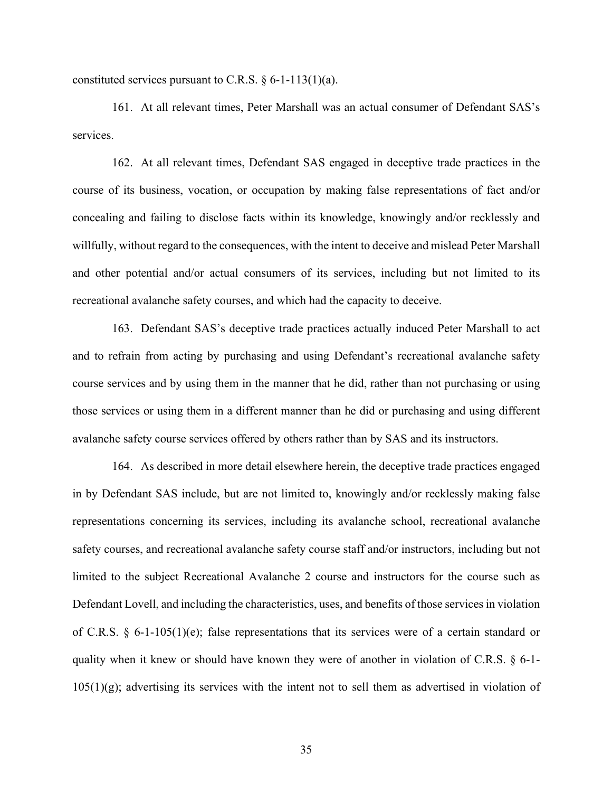constituted services pursuant to C.R.S.  $\S 6$ -1-113(1)(a).

161. At all relevant times, Peter Marshall was an actual consumer of Defendant SAS's services.

162. At all relevant times, Defendant SAS engaged in deceptive trade practices in the course of its business, vocation, or occupation by making false representations of fact and/or concealing and failing to disclose facts within its knowledge, knowingly and/or recklessly and willfully, without regard to the consequences, with the intent to deceive and mislead Peter Marshall and other potential and/or actual consumers of its services, including but not limited to its recreational avalanche safety courses, and which had the capacity to deceive.

163. Defendant SAS's deceptive trade practices actually induced Peter Marshall to act and to refrain from acting by purchasing and using Defendant's recreational avalanche safety course services and by using them in the manner that he did, rather than not purchasing or using those services or using them in a different manner than he did or purchasing and using different avalanche safety course services offered by others rather than by SAS and its instructors.

164. As described in more detail elsewhere herein, the deceptive trade practices engaged in by Defendant SAS include, but are not limited to, knowingly and/or recklessly making false representations concerning its services, including its avalanche school, recreational avalanche safety courses, and recreational avalanche safety course staff and/or instructors, including but not limited to the subject Recreational Avalanche 2 course and instructors for the course such as Defendant Lovell, and including the characteristics, uses, and benefits of those services in violation of C.R.S. § 6-1-105(1)(e); false representations that its services were of a certain standard or quality when it knew or should have known they were of another in violation of C.R.S. § 6-1-  $105(1)(g)$ ; advertising its services with the intent not to sell them as advertised in violation of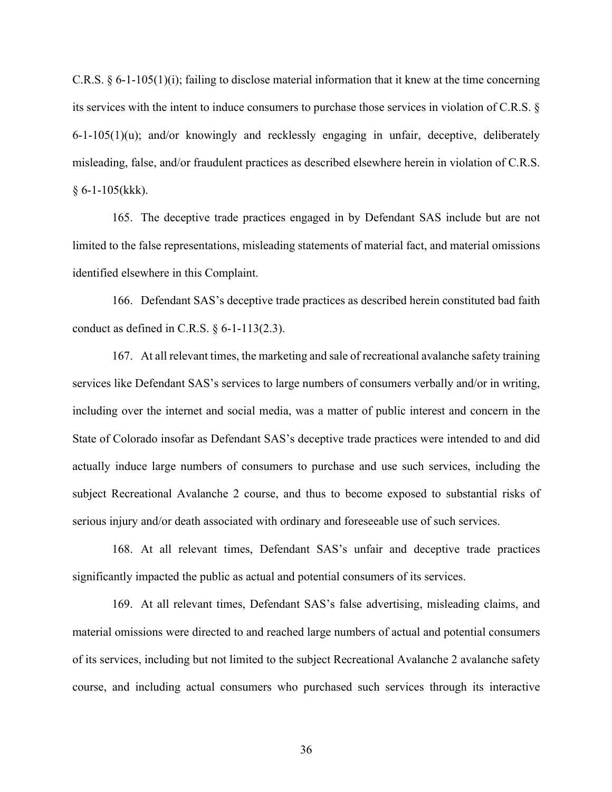C.R.S. § 6-1-105(1)(i); failing to disclose material information that it knew at the time concerning its services with the intent to induce consumers to purchase those services in violation of C.R.S. § 6-1-105(1)(u); and/or knowingly and recklessly engaging in unfair, deceptive, deliberately misleading, false, and/or fraudulent practices as described elsewhere herein in violation of C.R.S.  $§ 6-1-105(kkk).$ 

165. The deceptive trade practices engaged in by Defendant SAS include but are not limited to the false representations, misleading statements of material fact, and material omissions identified elsewhere in this Complaint.

166. Defendant SAS's deceptive trade practices as described herein constituted bad faith conduct as defined in C.R.S.  $\S$  6-1-113(2.3).

167. At all relevant times, the marketing and sale of recreational avalanche safety training services like Defendant SAS's services to large numbers of consumers verbally and/or in writing, including over the internet and social media, was a matter of public interest and concern in the State of Colorado insofar as Defendant SAS's deceptive trade practices were intended to and did actually induce large numbers of consumers to purchase and use such services, including the subject Recreational Avalanche 2 course, and thus to become exposed to substantial risks of serious injury and/or death associated with ordinary and foreseeable use of such services.

168. At all relevant times, Defendant SAS's unfair and deceptive trade practices significantly impacted the public as actual and potential consumers of its services.

169. At all relevant times, Defendant SAS's false advertising, misleading claims, and material omissions were directed to and reached large numbers of actual and potential consumers of its services, including but not limited to the subject Recreational Avalanche 2 avalanche safety course, and including actual consumers who purchased such services through its interactive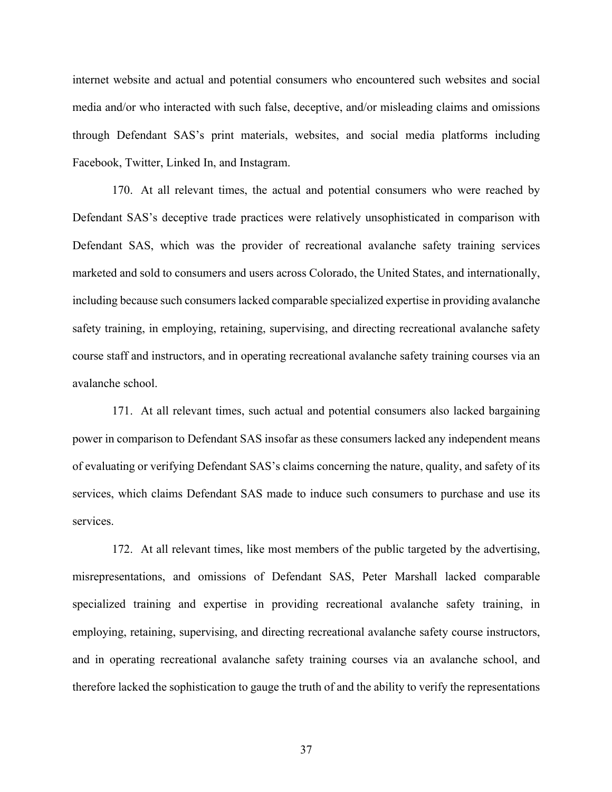internet website and actual and potential consumers who encountered such websites and social media and/or who interacted with such false, deceptive, and/or misleading claims and omissions through Defendant SAS's print materials, websites, and social media platforms including Facebook, Twitter, Linked In, and Instagram.

170. At all relevant times, the actual and potential consumers who were reached by Defendant SAS's deceptive trade practices were relatively unsophisticated in comparison with Defendant SAS, which was the provider of recreational avalanche safety training services marketed and sold to consumers and users across Colorado, the United States, and internationally, including because such consumers lacked comparable specialized expertise in providing avalanche safety training, in employing, retaining, supervising, and directing recreational avalanche safety course staff and instructors, and in operating recreational avalanche safety training courses via an avalanche school.

171. At all relevant times, such actual and potential consumers also lacked bargaining power in comparison to Defendant SAS insofar as these consumers lacked any independent means of evaluating or verifying Defendant SAS's claims concerning the nature, quality, and safety of its services, which claims Defendant SAS made to induce such consumers to purchase and use its services.

172. At all relevant times, like most members of the public targeted by the advertising, misrepresentations, and omissions of Defendant SAS, Peter Marshall lacked comparable specialized training and expertise in providing recreational avalanche safety training, in employing, retaining, supervising, and directing recreational avalanche safety course instructors, and in operating recreational avalanche safety training courses via an avalanche school, and therefore lacked the sophistication to gauge the truth of and the ability to verify the representations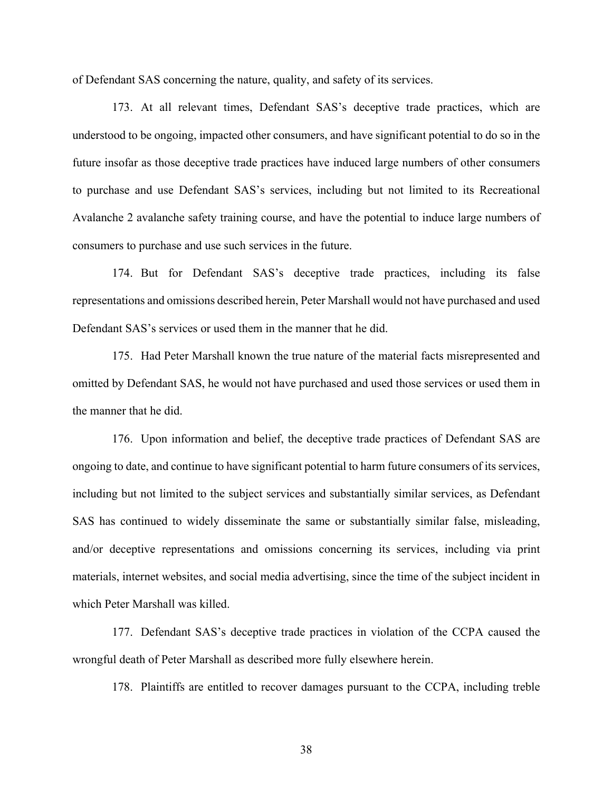of Defendant SAS concerning the nature, quality, and safety of its services.

173. At all relevant times, Defendant SAS's deceptive trade practices, which are understood to be ongoing, impacted other consumers, and have significant potential to do so in the future insofar as those deceptive trade practices have induced large numbers of other consumers to purchase and use Defendant SAS's services, including but not limited to its Recreational Avalanche 2 avalanche safety training course, and have the potential to induce large numbers of consumers to purchase and use such services in the future.

174. But for Defendant SAS's deceptive trade practices, including its false representations and omissions described herein, Peter Marshall would not have purchased and used Defendant SAS's services or used them in the manner that he did.

175. Had Peter Marshall known the true nature of the material facts misrepresented and omitted by Defendant SAS, he would not have purchased and used those services or used them in the manner that he did.

176. Upon information and belief, the deceptive trade practices of Defendant SAS are ongoing to date, and continue to have significant potential to harm future consumers of its services, including but not limited to the subject services and substantially similar services, as Defendant SAS has continued to widely disseminate the same or substantially similar false, misleading, and/or deceptive representations and omissions concerning its services, including via print materials, internet websites, and social media advertising, since the time of the subject incident in which Peter Marshall was killed.

177. Defendant SAS's deceptive trade practices in violation of the CCPA caused the wrongful death of Peter Marshall as described more fully elsewhere herein.

178. Plaintiffs are entitled to recover damages pursuant to the CCPA, including treble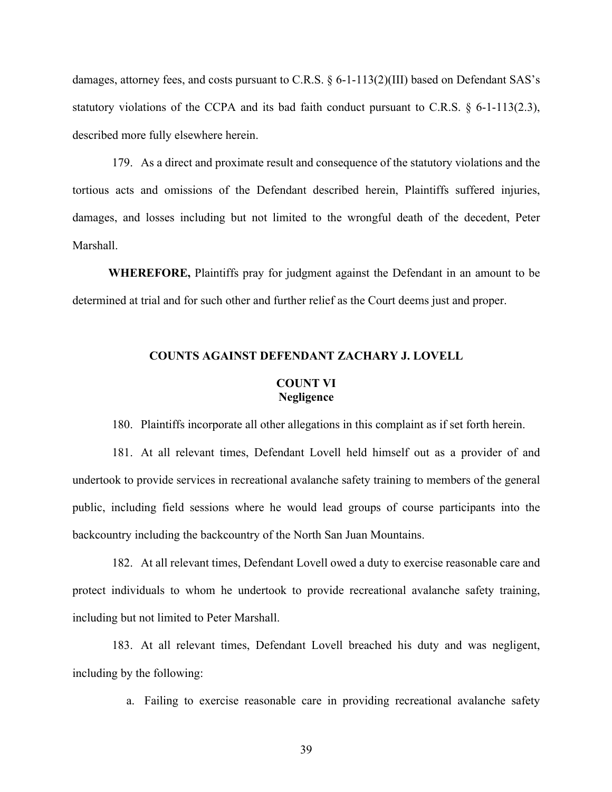damages, attorney fees, and costs pursuant to C.R.S. § 6-1-113(2)(III) based on Defendant SAS's statutory violations of the CCPA and its bad faith conduct pursuant to C.R.S. § 6-1-113(2.3), described more fully elsewhere herein.

179. As a direct and proximate result and consequence of the statutory violations and the tortious acts and omissions of the Defendant described herein, Plaintiffs suffered injuries, damages, and losses including but not limited to the wrongful death of the decedent, Peter Marshall.

**WHEREFORE,** Plaintiffs pray for judgment against the Defendant in an amount to be determined at trial and for such other and further relief as the Court deems just and proper.

# **COUNTS AGAINST DEFENDANT ZACHARY J. LOVELL COUNT VI Negligence**

180. Plaintiffs incorporate all other allegations in this complaint as if set forth herein.

181. At all relevant times, Defendant Lovell held himself out as a provider of and undertook to provide services in recreational avalanche safety training to members of the general public, including field sessions where he would lead groups of course participants into the backcountry including the backcountry of the North San Juan Mountains.

182. At all relevant times, Defendant Lovell owed a duty to exercise reasonable care and protect individuals to whom he undertook to provide recreational avalanche safety training, including but not limited to Peter Marshall.

183. At all relevant times, Defendant Lovell breached his duty and was negligent, including by the following:

a. Failing to exercise reasonable care in providing recreational avalanche safety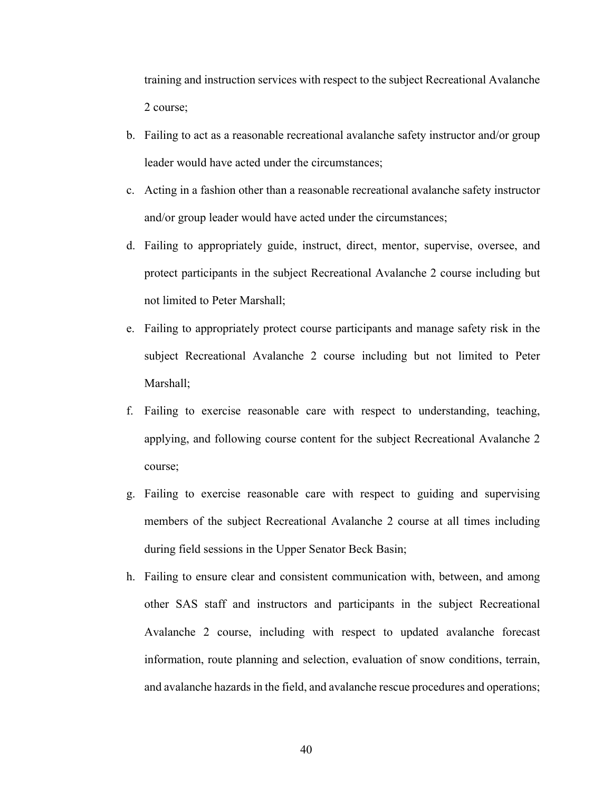training and instruction services with respect to the subject Recreational Avalanche 2 course;

- b. Failing to act as a reasonable recreational avalanche safety instructor and/or group leader would have acted under the circumstances;
- c. Acting in a fashion other than a reasonable recreational avalanche safety instructor and/or group leader would have acted under the circumstances;
- d. Failing to appropriately guide, instruct, direct, mentor, supervise, oversee, and protect participants in the subject Recreational Avalanche 2 course including but not limited to Peter Marshall;
- e. Failing to appropriately protect course participants and manage safety risk in the subject Recreational Avalanche 2 course including but not limited to Peter Marshall;
- f. Failing to exercise reasonable care with respect to understanding, teaching, applying, and following course content for the subject Recreational Avalanche 2 course;
- g. Failing to exercise reasonable care with respect to guiding and supervising members of the subject Recreational Avalanche 2 course at all times including during field sessions in the Upper Senator Beck Basin;
- h. Failing to ensure clear and consistent communication with, between, and among other SAS staff and instructors and participants in the subject Recreational Avalanche 2 course, including with respect to updated avalanche forecast information, route planning and selection, evaluation of snow conditions, terrain, and avalanche hazards in the field, and avalanche rescue procedures and operations;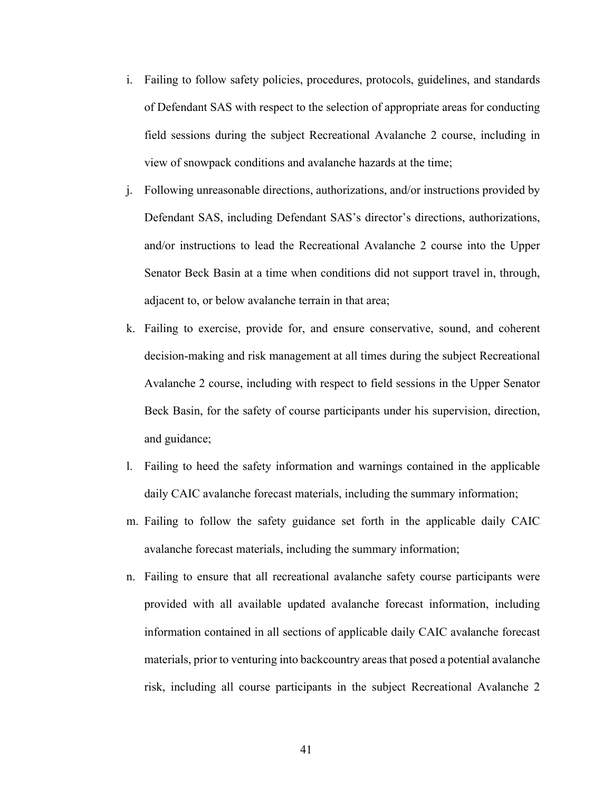- i. Failing to follow safety policies, procedures, protocols, guidelines, and standards of Defendant SAS with respect to the selection of appropriate areas for conducting field sessions during the subject Recreational Avalanche 2 course, including in view of snowpack conditions and avalanche hazards at the time;
- j. Following unreasonable directions, authorizations, and/or instructions provided by Defendant SAS, including Defendant SAS's director's directions, authorizations, and/or instructions to lead the Recreational Avalanche 2 course into the Upper Senator Beck Basin at a time when conditions did not support travel in, through, adjacent to, or below avalanche terrain in that area;
- k. Failing to exercise, provide for, and ensure conservative, sound, and coherent decision-making and risk management at all times during the subject Recreational Avalanche 2 course, including with respect to field sessions in the Upper Senator Beck Basin, for the safety of course participants under his supervision, direction, and guidance;
- l. Failing to heed the safety information and warnings contained in the applicable daily CAIC avalanche forecast materials, including the summary information;
- m. Failing to follow the safety guidance set forth in the applicable daily CAIC avalanche forecast materials, including the summary information;
- n. Failing to ensure that all recreational avalanche safety course participants were provided with all available updated avalanche forecast information, including information contained in all sections of applicable daily CAIC avalanche forecast materials, prior to venturing into backcountry areas that posed a potential avalanche risk, including all course participants in the subject Recreational Avalanche 2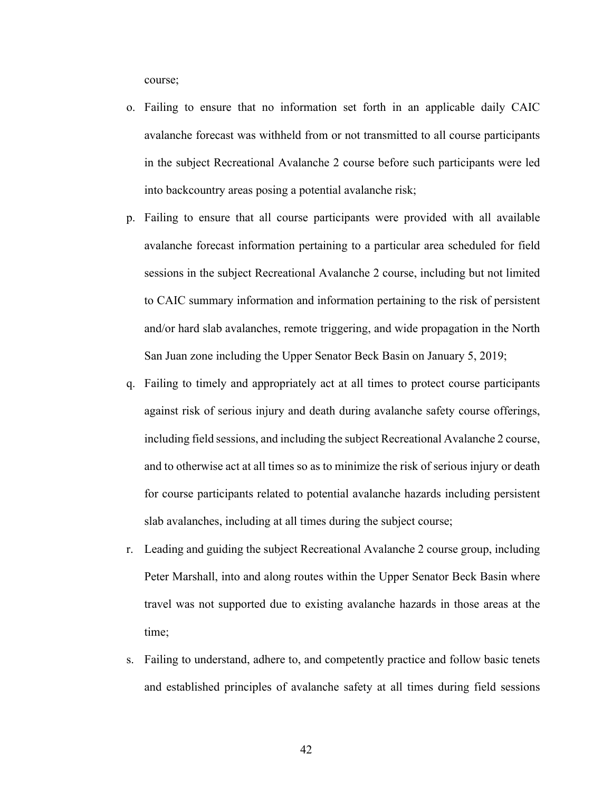course;

- o. Failing to ensure that no information set forth in an applicable daily CAIC avalanche forecast was withheld from or not transmitted to all course participants in the subject Recreational Avalanche 2 course before such participants were led into backcountry areas posing a potential avalanche risk;
- p. Failing to ensure that all course participants were provided with all available avalanche forecast information pertaining to a particular area scheduled for field sessions in the subject Recreational Avalanche 2 course, including but not limited to CAIC summary information and information pertaining to the risk of persistent and/or hard slab avalanches, remote triggering, and wide propagation in the North San Juan zone including the Upper Senator Beck Basin on January 5, 2019;
- q. Failing to timely and appropriately act at all times to protect course participants against risk of serious injury and death during avalanche safety course offerings, including field sessions, and including the subject Recreational Avalanche 2 course, and to otherwise act at all times so as to minimize the risk of serious injury or death for course participants related to potential avalanche hazards including persistent slab avalanches, including at all times during the subject course;
- r. Leading and guiding the subject Recreational Avalanche 2 course group, including Peter Marshall, into and along routes within the Upper Senator Beck Basin where travel was not supported due to existing avalanche hazards in those areas at the time;
- s. Failing to understand, adhere to, and competently practice and follow basic tenets and established principles of avalanche safety at all times during field sessions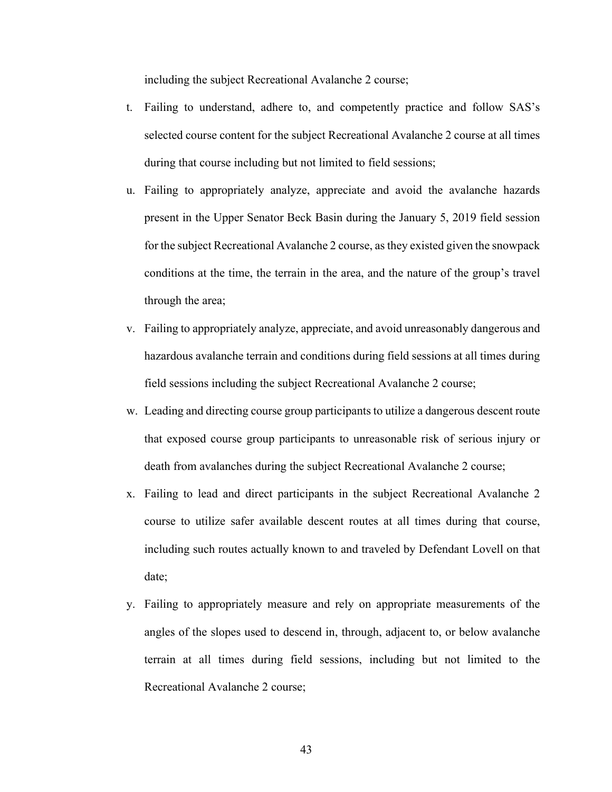including the subject Recreational Avalanche 2 course;

- t. Failing to understand, adhere to, and competently practice and follow SAS's selected course content for the subject Recreational Avalanche 2 course at all times during that course including but not limited to field sessions;
- u. Failing to appropriately analyze, appreciate and avoid the avalanche hazards present in the Upper Senator Beck Basin during the January 5, 2019 field session for the subject Recreational Avalanche 2 course, as they existed given the snowpack conditions at the time, the terrain in the area, and the nature of the group's travel through the area;
- v. Failing to appropriately analyze, appreciate, and avoid unreasonably dangerous and hazardous avalanche terrain and conditions during field sessions at all times during field sessions including the subject Recreational Avalanche 2 course;
- w. Leading and directing course group participants to utilize a dangerous descent route that exposed course group participants to unreasonable risk of serious injury or death from avalanches during the subject Recreational Avalanche 2 course;
- x. Failing to lead and direct participants in the subject Recreational Avalanche 2 course to utilize safer available descent routes at all times during that course, including such routes actually known to and traveled by Defendant Lovell on that date;
- y. Failing to appropriately measure and rely on appropriate measurements of the angles of the slopes used to descend in, through, adjacent to, or below avalanche terrain at all times during field sessions, including but not limited to the Recreational Avalanche 2 course;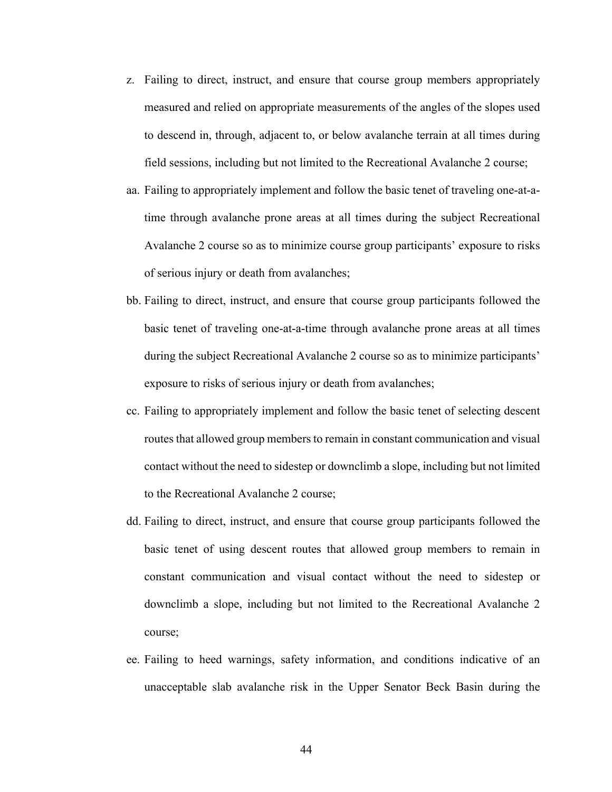- z. Failing to direct, instruct, and ensure that course group members appropriately measured and relied on appropriate measurements of the angles of the slopes used to descend in, through, adjacent to, or below avalanche terrain at all times during field sessions, including but not limited to the Recreational Avalanche 2 course;
- aa. Failing to appropriately implement and follow the basic tenet of traveling one-at-atime through avalanche prone areas at all times during the subject Recreational Avalanche 2 course so as to minimize course group participants' exposure to risks of serious injury or death from avalanches;
- bb. Failing to direct, instruct, and ensure that course group participants followed the basic tenet of traveling one-at-a-time through avalanche prone areas at all times during the subject Recreational Avalanche 2 course so as to minimize participants' exposure to risks of serious injury or death from avalanches;
- cc. Failing to appropriately implement and follow the basic tenet of selecting descent routes that allowed group members to remain in constant communication and visual contact without the need to sidestep or downclimb a slope, including but not limited to the Recreational Avalanche 2 course;
- dd. Failing to direct, instruct, and ensure that course group participants followed the basic tenet of using descent routes that allowed group members to remain in constant communication and visual contact without the need to sidestep or downclimb a slope, including but not limited to the Recreational Avalanche 2 course;
- ee. Failing to heed warnings, safety information, and conditions indicative of an unacceptable slab avalanche risk in the Upper Senator Beck Basin during the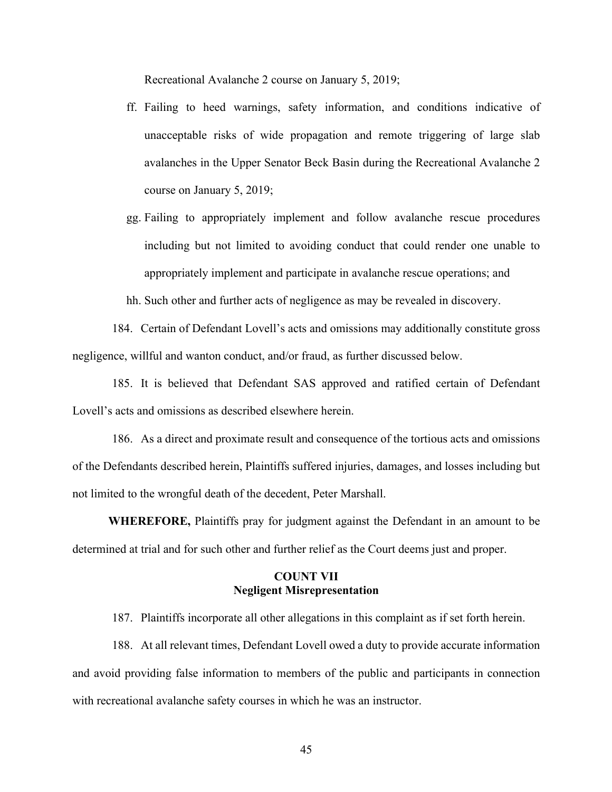Recreational Avalanche 2 course on January 5, 2019;

- ff. Failing to heed warnings, safety information, and conditions indicative of unacceptable risks of wide propagation and remote triggering of large slab avalanches in the Upper Senator Beck Basin during the Recreational Avalanche 2 course on January 5, 2019;
- gg. Failing to appropriately implement and follow avalanche rescue procedures including but not limited to avoiding conduct that could render one unable to appropriately implement and participate in avalanche rescue operations; and

hh. Such other and further acts of negligence as may be revealed in discovery.

184. Certain of Defendant Lovell's acts and omissions may additionally constitute gross negligence, willful and wanton conduct, and/or fraud, as further discussed below.

185. It is believed that Defendant SAS approved and ratified certain of Defendant Lovell's acts and omissions as described elsewhere herein.

186. As a direct and proximate result and consequence of the tortious acts and omissions of the Defendants described herein, Plaintiffs suffered injuries, damages, and losses including but not limited to the wrongful death of the decedent, Peter Marshall.

**WHEREFORE,** Plaintiffs pray for judgment against the Defendant in an amount to be determined at trial and for such other and further relief as the Court deems just and proper.

# **COUNT VII Negligent Misrepresentation**

187. Plaintiffs incorporate all other allegations in this complaint as if set forth herein.

188. At all relevant times, Defendant Lovell owed a duty to provide accurate information and avoid providing false information to members of the public and participants in connection with recreational avalanche safety courses in which he was an instructor.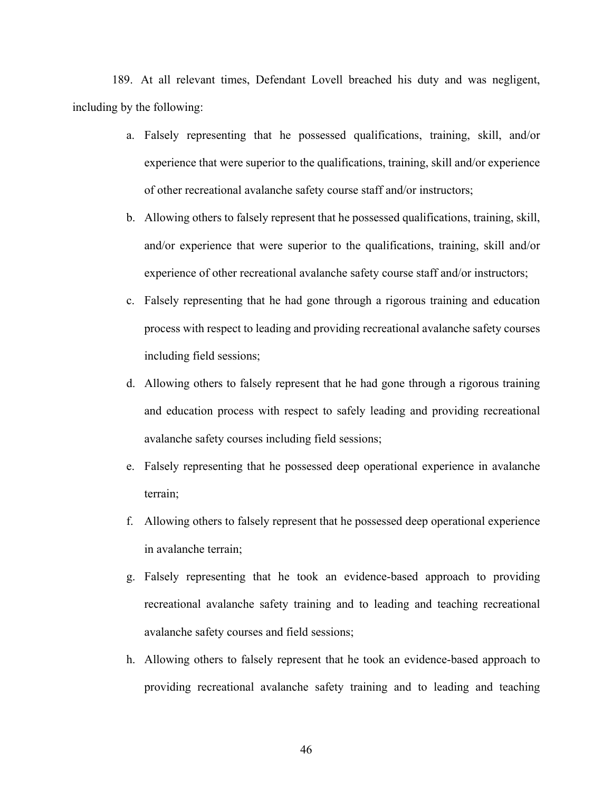189. At all relevant times, Defendant Lovell breached his duty and was negligent, including by the following:

- a. Falsely representing that he possessed qualifications, training, skill, and/or experience that were superior to the qualifications, training, skill and/or experience of other recreational avalanche safety course staff and/or instructors;
- b. Allowing others to falsely represent that he possessed qualifications, training, skill, and/or experience that were superior to the qualifications, training, skill and/or experience of other recreational avalanche safety course staff and/or instructors;
- c. Falsely representing that he had gone through a rigorous training and education process with respect to leading and providing recreational avalanche safety courses including field sessions;
- d. Allowing others to falsely represent that he had gone through a rigorous training and education process with respect to safely leading and providing recreational avalanche safety courses including field sessions;
- e. Falsely representing that he possessed deep operational experience in avalanche terrain;
- f. Allowing others to falsely represent that he possessed deep operational experience in avalanche terrain;
- g. Falsely representing that he took an evidence-based approach to providing recreational avalanche safety training and to leading and teaching recreational avalanche safety courses and field sessions;
- h. Allowing others to falsely represent that he took an evidence-based approach to providing recreational avalanche safety training and to leading and teaching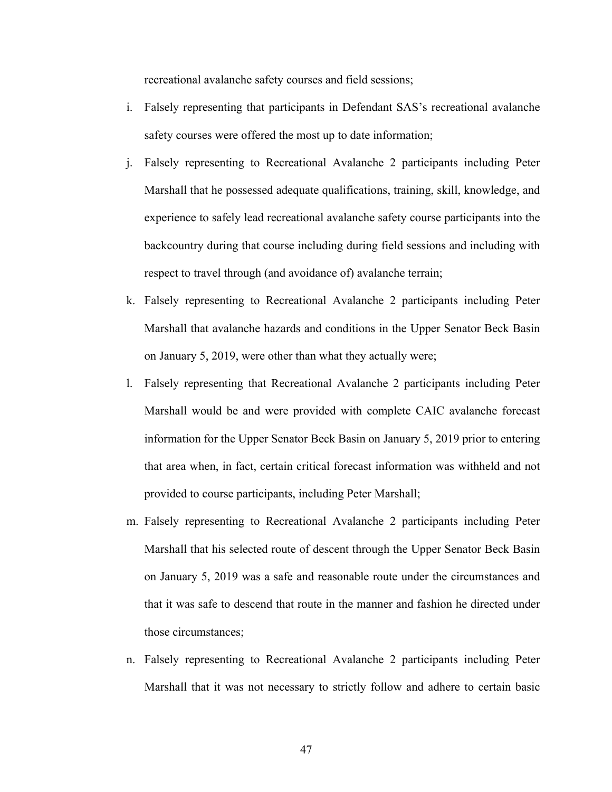recreational avalanche safety courses and field sessions;

- i. Falsely representing that participants in Defendant SAS's recreational avalanche safety courses were offered the most up to date information;
- j. Falsely representing to Recreational Avalanche 2 participants including Peter Marshall that he possessed adequate qualifications, training, skill, knowledge, and experience to safely lead recreational avalanche safety course participants into the backcountry during that course including during field sessions and including with respect to travel through (and avoidance of) avalanche terrain;
- k. Falsely representing to Recreational Avalanche 2 participants including Peter Marshall that avalanche hazards and conditions in the Upper Senator Beck Basin on January 5, 2019, were other than what they actually were;
- l. Falsely representing that Recreational Avalanche 2 participants including Peter Marshall would be and were provided with complete CAIC avalanche forecast information for the Upper Senator Beck Basin on January 5, 2019 prior to entering that area when, in fact, certain critical forecast information was withheld and not provided to course participants, including Peter Marshall;
- m. Falsely representing to Recreational Avalanche 2 participants including Peter Marshall that his selected route of descent through the Upper Senator Beck Basin on January 5, 2019 was a safe and reasonable route under the circumstances and that it was safe to descend that route in the manner and fashion he directed under those circumstances;
- n. Falsely representing to Recreational Avalanche 2 participants including Peter Marshall that it was not necessary to strictly follow and adhere to certain basic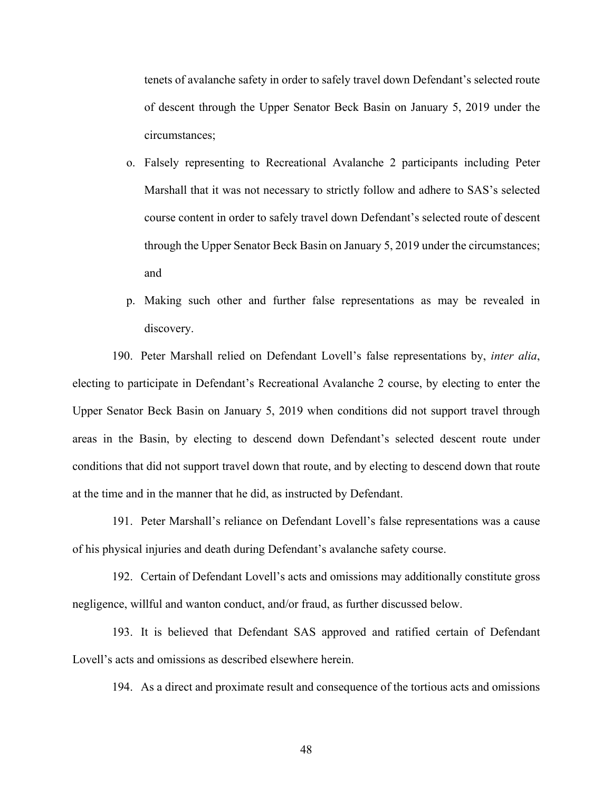tenets of avalanche safety in order to safely travel down Defendant's selected route of descent through the Upper Senator Beck Basin on January 5, 2019 under the circumstances;

- o. Falsely representing to Recreational Avalanche 2 participants including Peter Marshall that it was not necessary to strictly follow and adhere to SAS's selected course content in order to safely travel down Defendant's selected route of descent through the Upper Senator Beck Basin on January 5, 2019 under the circumstances; and
- p. Making such other and further false representations as may be revealed in discovery.

190. Peter Marshall relied on Defendant Lovell's false representations by, *inter alia*, electing to participate in Defendant's Recreational Avalanche 2 course, by electing to enter the Upper Senator Beck Basin on January 5, 2019 when conditions did not support travel through areas in the Basin, by electing to descend down Defendant's selected descent route under conditions that did not support travel down that route, and by electing to descend down that route at the time and in the manner that he did, as instructed by Defendant.

191. Peter Marshall's reliance on Defendant Lovell's false representations was a cause of his physical injuries and death during Defendant's avalanche safety course.

192. Certain of Defendant Lovell's acts and omissions may additionally constitute gross negligence, willful and wanton conduct, and/or fraud, as further discussed below.

193. It is believed that Defendant SAS approved and ratified certain of Defendant Lovell's acts and omissions as described elsewhere herein.

194. As a direct and proximate result and consequence of the tortious acts and omissions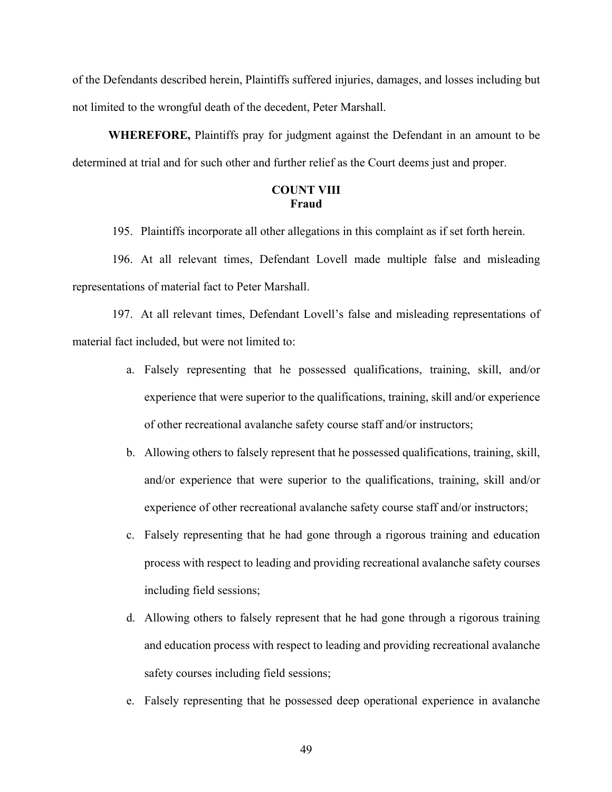of the Defendants described herein, Plaintiffs suffered injuries, damages, and losses including but not limited to the wrongful death of the decedent, Peter Marshall.

**WHEREFORE,** Plaintiffs pray for judgment against the Defendant in an amount to be determined at trial and for such other and further relief as the Court deems just and proper.

# **COUNT VIII Fraud**

195. Plaintiffs incorporate all other allegations in this complaint as if set forth herein.

196. At all relevant times, Defendant Lovell made multiple false and misleading representations of material fact to Peter Marshall.

197. At all relevant times, Defendant Lovell's false and misleading representations of material fact included, but were not limited to:

- a. Falsely representing that he possessed qualifications, training, skill, and/or experience that were superior to the qualifications, training, skill and/or experience of other recreational avalanche safety course staff and/or instructors;
- b. Allowing others to falsely represent that he possessed qualifications, training, skill, and/or experience that were superior to the qualifications, training, skill and/or experience of other recreational avalanche safety course staff and/or instructors;
- c. Falsely representing that he had gone through a rigorous training and education process with respect to leading and providing recreational avalanche safety courses including field sessions;
- d. Allowing others to falsely represent that he had gone through a rigorous training and education process with respect to leading and providing recreational avalanche safety courses including field sessions;
- e. Falsely representing that he possessed deep operational experience in avalanche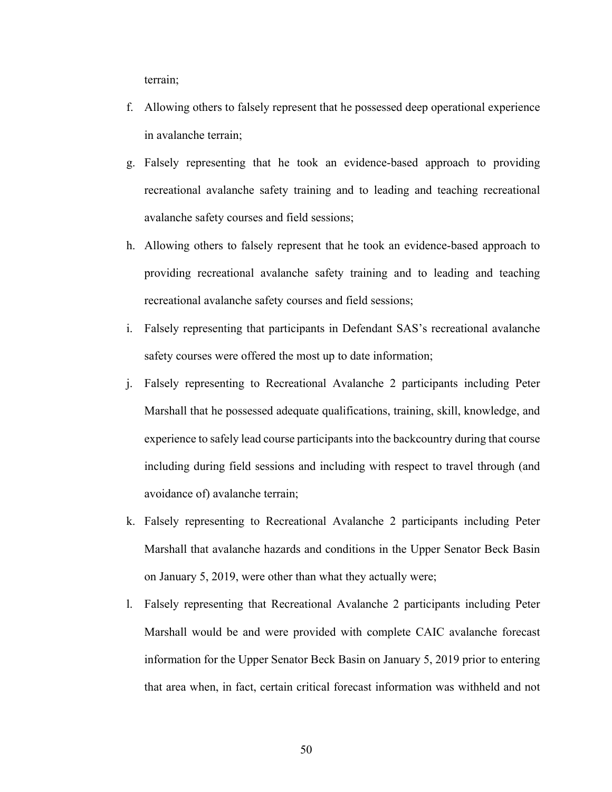terrain;

- f. Allowing others to falsely represent that he possessed deep operational experience in avalanche terrain;
- g. Falsely representing that he took an evidence-based approach to providing recreational avalanche safety training and to leading and teaching recreational avalanche safety courses and field sessions;
- h. Allowing others to falsely represent that he took an evidence-based approach to providing recreational avalanche safety training and to leading and teaching recreational avalanche safety courses and field sessions;
- i. Falsely representing that participants in Defendant SAS's recreational avalanche safety courses were offered the most up to date information;
- j. Falsely representing to Recreational Avalanche 2 participants including Peter Marshall that he possessed adequate qualifications, training, skill, knowledge, and experience to safely lead course participants into the backcountry during that course including during field sessions and including with respect to travel through (and avoidance of) avalanche terrain;
- k. Falsely representing to Recreational Avalanche 2 participants including Peter Marshall that avalanche hazards and conditions in the Upper Senator Beck Basin on January 5, 2019, were other than what they actually were;
- l. Falsely representing that Recreational Avalanche 2 participants including Peter Marshall would be and were provided with complete CAIC avalanche forecast information for the Upper Senator Beck Basin on January 5, 2019 prior to entering that area when, in fact, certain critical forecast information was withheld and not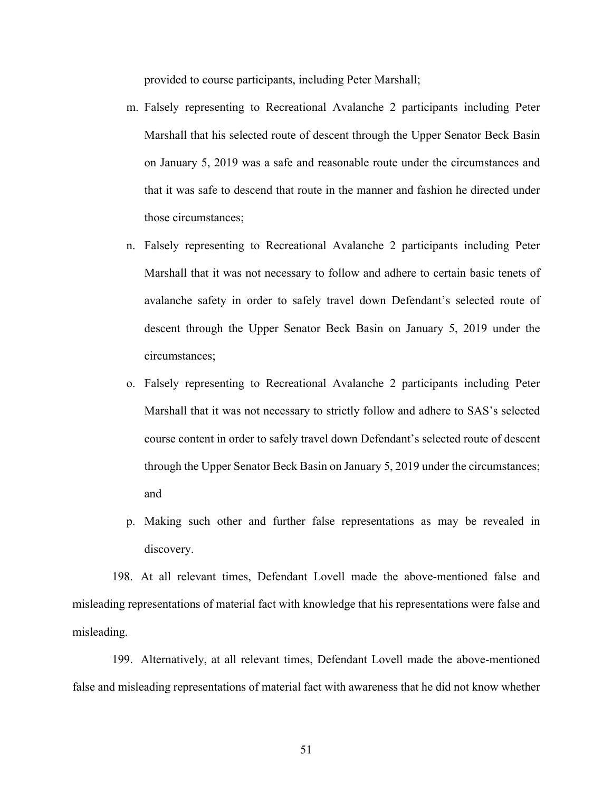provided to course participants, including Peter Marshall;

- m. Falsely representing to Recreational Avalanche 2 participants including Peter Marshall that his selected route of descent through the Upper Senator Beck Basin on January 5, 2019 was a safe and reasonable route under the circumstances and that it was safe to descend that route in the manner and fashion he directed under those circumstances;
- n. Falsely representing to Recreational Avalanche 2 participants including Peter Marshall that it was not necessary to follow and adhere to certain basic tenets of avalanche safety in order to safely travel down Defendant's selected route of descent through the Upper Senator Beck Basin on January 5, 2019 under the circumstances;
- o. Falsely representing to Recreational Avalanche 2 participants including Peter Marshall that it was not necessary to strictly follow and adhere to SAS's selected course content in order to safely travel down Defendant's selected route of descent through the Upper Senator Beck Basin on January 5, 2019 under the circumstances; and
- p. Making such other and further false representations as may be revealed in discovery.

198. At all relevant times, Defendant Lovell made the above-mentioned false and misleading representations of material fact with knowledge that his representations were false and misleading.

199. Alternatively, at all relevant times, Defendant Lovell made the above-mentioned false and misleading representations of material fact with awareness that he did not know whether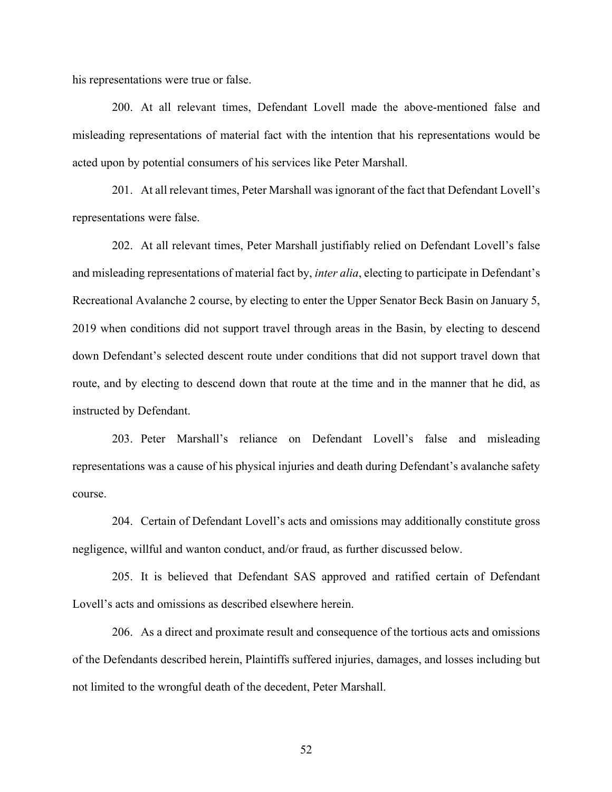his representations were true or false.

200. At all relevant times, Defendant Lovell made the above-mentioned false and misleading representations of material fact with the intention that his representations would be acted upon by potential consumers of his services like Peter Marshall.

201. At all relevant times, Peter Marshall was ignorant of the fact that Defendant Lovell's representations were false.

202. At all relevant times, Peter Marshall justifiably relied on Defendant Lovell's false and misleading representations of material fact by, *inter alia*, electing to participate in Defendant's Recreational Avalanche 2 course, by electing to enter the Upper Senator Beck Basin on January 5, 2019 when conditions did not support travel through areas in the Basin, by electing to descend down Defendant's selected descent route under conditions that did not support travel down that route, and by electing to descend down that route at the time and in the manner that he did, as instructed by Defendant.

203. Peter Marshall's reliance on Defendant Lovell's false and misleading representations was a cause of his physical injuries and death during Defendant's avalanche safety course.

204. Certain of Defendant Lovell's acts and omissions may additionally constitute gross negligence, willful and wanton conduct, and/or fraud, as further discussed below.

205. It is believed that Defendant SAS approved and ratified certain of Defendant Lovell's acts and omissions as described elsewhere herein.

206. As a direct and proximate result and consequence of the tortious acts and omissions of the Defendants described herein, Plaintiffs suffered injuries, damages, and losses including but not limited to the wrongful death of the decedent, Peter Marshall.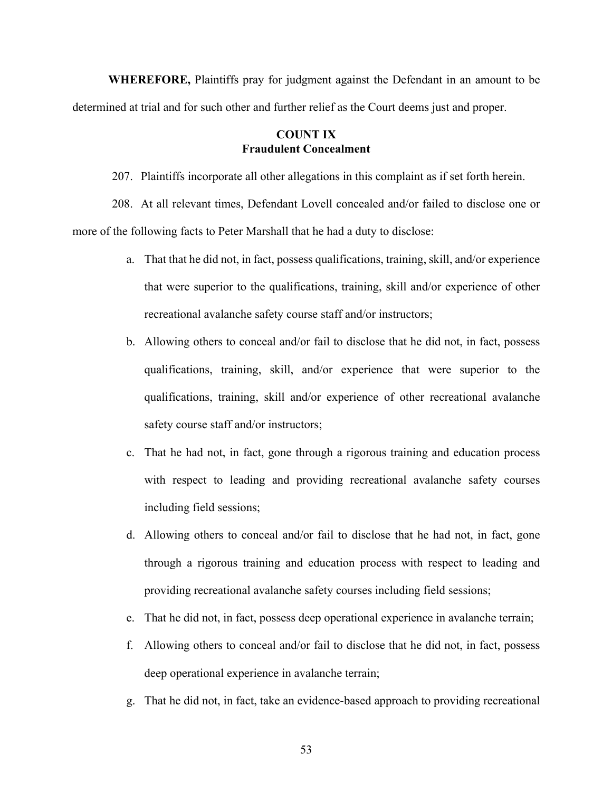**WHEREFORE,** Plaintiffs pray for judgment against the Defendant in an amount to be determined at trial and for such other and further relief as the Court deems just and proper.

# **COUNT IX Fraudulent Concealment**

207. Plaintiffs incorporate all other allegations in this complaint as if set forth herein.

208. At all relevant times, Defendant Lovell concealed and/or failed to disclose one or more of the following facts to Peter Marshall that he had a duty to disclose:

- a. That that he did not, in fact, possess qualifications, training, skill, and/or experience that were superior to the qualifications, training, skill and/or experience of other recreational avalanche safety course staff and/or instructors;
- b. Allowing others to conceal and/or fail to disclose that he did not, in fact, possess qualifications, training, skill, and/or experience that were superior to the qualifications, training, skill and/or experience of other recreational avalanche safety course staff and/or instructors;
- c. That he had not, in fact, gone through a rigorous training and education process with respect to leading and providing recreational avalanche safety courses including field sessions;
- d. Allowing others to conceal and/or fail to disclose that he had not, in fact, gone through a rigorous training and education process with respect to leading and providing recreational avalanche safety courses including field sessions;
- e. That he did not, in fact, possess deep operational experience in avalanche terrain;
- f. Allowing others to conceal and/or fail to disclose that he did not, in fact, possess deep operational experience in avalanche terrain;
- g. That he did not, in fact, take an evidence-based approach to providing recreational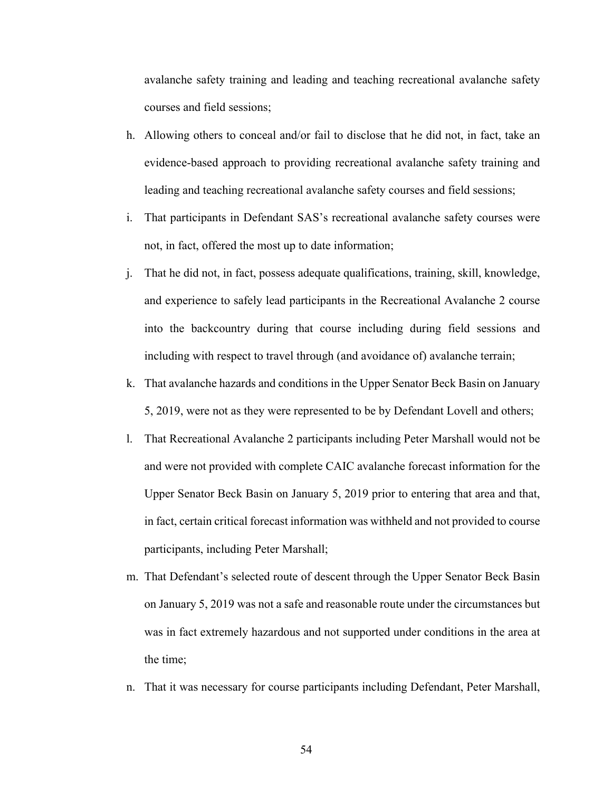avalanche safety training and leading and teaching recreational avalanche safety courses and field sessions;

- h. Allowing others to conceal and/or fail to disclose that he did not, in fact, take an evidence-based approach to providing recreational avalanche safety training and leading and teaching recreational avalanche safety courses and field sessions;
- i. That participants in Defendant SAS's recreational avalanche safety courses were not, in fact, offered the most up to date information;
- j. That he did not, in fact, possess adequate qualifications, training, skill, knowledge, and experience to safely lead participants in the Recreational Avalanche 2 course into the backcountry during that course including during field sessions and including with respect to travel through (and avoidance of) avalanche terrain;
- k. That avalanche hazards and conditions in the Upper Senator Beck Basin on January 5, 2019, were not as they were represented to be by Defendant Lovell and others;
- l. That Recreational Avalanche 2 participants including Peter Marshall would not be and were not provided with complete CAIC avalanche forecast information for the Upper Senator Beck Basin on January 5, 2019 prior to entering that area and that, in fact, certain critical forecast information was withheld and not provided to course participants, including Peter Marshall;
- m. That Defendant's selected route of descent through the Upper Senator Beck Basin on January 5, 2019 was not a safe and reasonable route under the circumstances but was in fact extremely hazardous and not supported under conditions in the area at the time;
- n. That it was necessary for course participants including Defendant, Peter Marshall,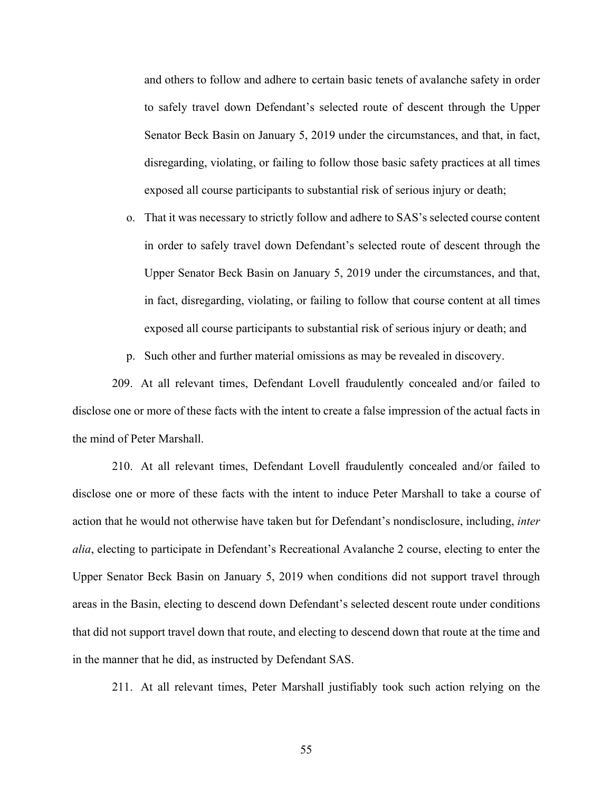and others to follow and adhere to certain basic tenets of avalanche safety in order to safely travel down Defendant's selected route of descent through the Upper Senator Beck Basin on January 5, 2019 under the circumstances, and that, in fact, disregarding, violating, or failing to follow those basic safety practices at all times exposed all course participants to substantial risk of serious injury or death;

- o. That it was necessary to strictly follow and adhere to SAS's selected course content in order to safely travel down Defendant's selected route of descent through the Upper Senator Beck Basin on January 5, 2019 under the circumstances, and that, in fact, disregarding, violating, or failing to follow that course content at all times exposed all course participants to substantial risk of serious injury or death; and
- p. Such other and further material omissions as may be revealed in discovery.

209. At all relevant times, Defendant Lovell fraudulently concealed and/or failed to disclose one or more of these facts with the intent to create a false impression of the actual facts in the mind of Peter Marshall.

210. At all relevant times, Defendant Lovell fraudulently concealed and/or failed to disclose one or more of these facts with the intent to induce Peter Marshall to take a course of action that he would not otherwise have taken but for Defendant's nondisclosure, including, *inter alia*, electing to participate in Defendant's Recreational Avalanche 2 course, electing to enter the Upper Senator Beck Basin on January 5, 2019 when conditions did not support travel through areas in the Basin, electing to descend down Defendant's selected descent route under conditions that did not support travel down that route, and electing to descend down that route at the time and in the manner that he did, as instructed by Defendant SAS.

211. At all relevant times, Peter Marshall justifiably took such action relying on the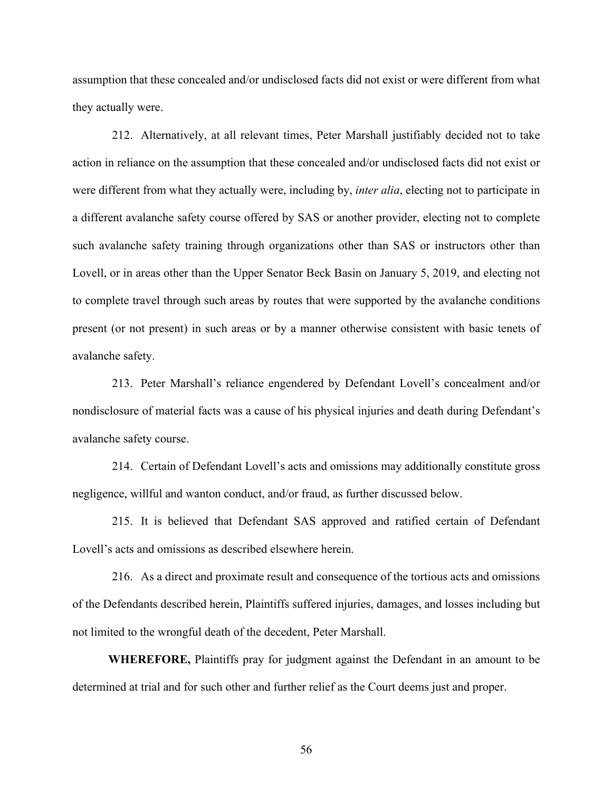assumption that these concealed and/or undisclosed facts did not exist or were different from what they actually were.

212. Alternatively, at all relevant times, Peter Marshall justifiably decided not to take action in reliance on the assumption that these concealed and/or undisclosed facts did not exist or were different from what they actually were, including by, *inter alia*, electing not to participate in a different avalanche safety course offered by SAS or another provider, electing not to complete such avalanche safety training through organizations other than SAS or instructors other than Lovell, or in areas other than the Upper Senator Beck Basin on January 5, 2019, and electing not to complete travel through such areas by routes that were supported by the avalanche conditions present (or not present) in such areas or by a manner otherwise consistent with basic tenets of avalanche safety.

213. Peter Marshall's reliance engendered by Defendant Lovell's concealment and/or nondisclosure of material facts was a cause of his physical injuries and death during Defendant's avalanche safety course.

214. Certain of Defendant Lovell's acts and omissions may additionally constitute gross negligence, willful and wanton conduct, and/or fraud, as further discussed below.

215. It is believed that Defendant SAS approved and ratified certain of Defendant Lovell's acts and omissions as described elsewhere herein.

216. As a direct and proximate result and consequence of the tortious acts and omissions of the Defendants described herein, Plaintiffs suffered injuries, damages, and losses including but not limited to the wrongful death of the decedent, Peter Marshall.

**WHEREFORE,** Plaintiffs pray for judgment against the Defendant in an amount to be determined at trial and for such other and further relief as the Court deems just and proper.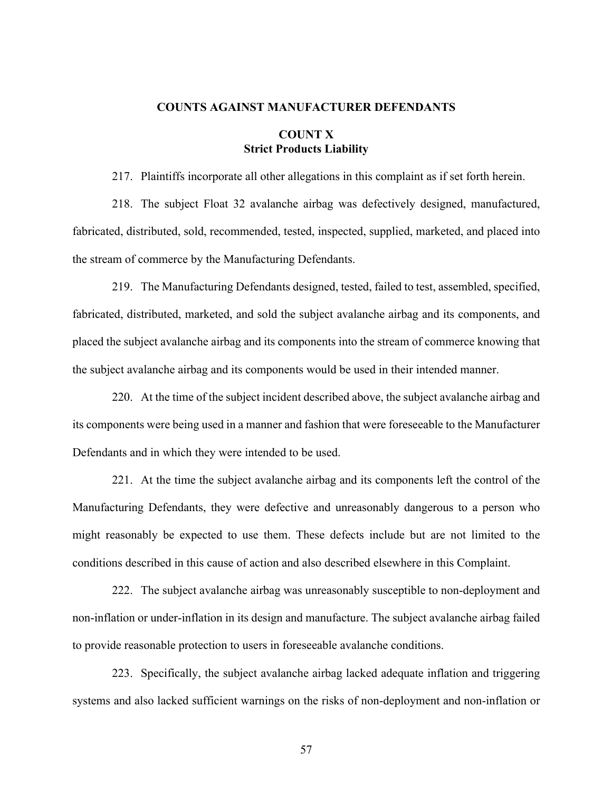#### **COUNTS AGAINST MANUFACTURER DEFENDANTS**

# **COUNT X Strict Products Liability**

217. Plaintiffs incorporate all other allegations in this complaint as if set forth herein.

218. The subject Float 32 avalanche airbag was defectively designed, manufactured, fabricated, distributed, sold, recommended, tested, inspected, supplied, marketed, and placed into the stream of commerce by the Manufacturing Defendants.

219. The Manufacturing Defendants designed, tested, failed to test, assembled, specified, fabricated, distributed, marketed, and sold the subject avalanche airbag and its components, and placed the subject avalanche airbag and its components into the stream of commerce knowing that the subject avalanche airbag and its components would be used in their intended manner.

220. At the time of the subject incident described above, the subject avalanche airbag and its components were being used in a manner and fashion that were foreseeable to the Manufacturer Defendants and in which they were intended to be used.

221. At the time the subject avalanche airbag and its components left the control of the Manufacturing Defendants, they were defective and unreasonably dangerous to a person who might reasonably be expected to use them. These defects include but are not limited to the conditions described in this cause of action and also described elsewhere in this Complaint.

222. The subject avalanche airbag was unreasonably susceptible to non-deployment and non-inflation or under-inflation in its design and manufacture. The subject avalanche airbag failed to provide reasonable protection to users in foreseeable avalanche conditions.

223. Specifically, the subject avalanche airbag lacked adequate inflation and triggering systems and also lacked sufficient warnings on the risks of non-deployment and non-inflation or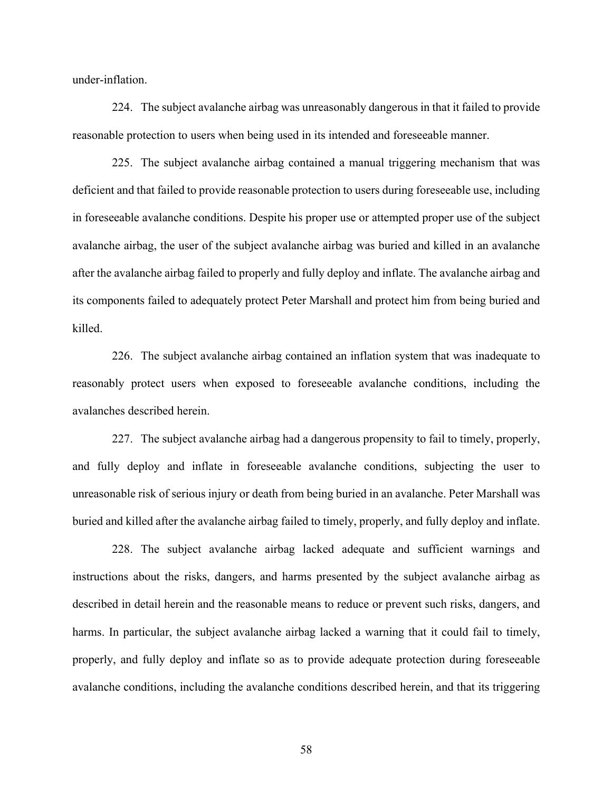under-inflation.

224. The subject avalanche airbag was unreasonably dangerous in that it failed to provide reasonable protection to users when being used in its intended and foreseeable manner.

225. The subject avalanche airbag contained a manual triggering mechanism that was deficient and that failed to provide reasonable protection to users during foreseeable use, including in foreseeable avalanche conditions. Despite his proper use or attempted proper use of the subject avalanche airbag, the user of the subject avalanche airbag was buried and killed in an avalanche after the avalanche airbag failed to properly and fully deploy and inflate. The avalanche airbag and its components failed to adequately protect Peter Marshall and protect him from being buried and killed.

226. The subject avalanche airbag contained an inflation system that was inadequate to reasonably protect users when exposed to foreseeable avalanche conditions, including the avalanches described herein.

227. The subject avalanche airbag had a dangerous propensity to fail to timely, properly, and fully deploy and inflate in foreseeable avalanche conditions, subjecting the user to unreasonable risk of serious injury or death from being buried in an avalanche. Peter Marshall was buried and killed after the avalanche airbag failed to timely, properly, and fully deploy and inflate.

228. The subject avalanche airbag lacked adequate and sufficient warnings and instructions about the risks, dangers, and harms presented by the subject avalanche airbag as described in detail herein and the reasonable means to reduce or prevent such risks, dangers, and harms. In particular, the subject avalanche airbag lacked a warning that it could fail to timely, properly, and fully deploy and inflate so as to provide adequate protection during foreseeable avalanche conditions, including the avalanche conditions described herein, and that its triggering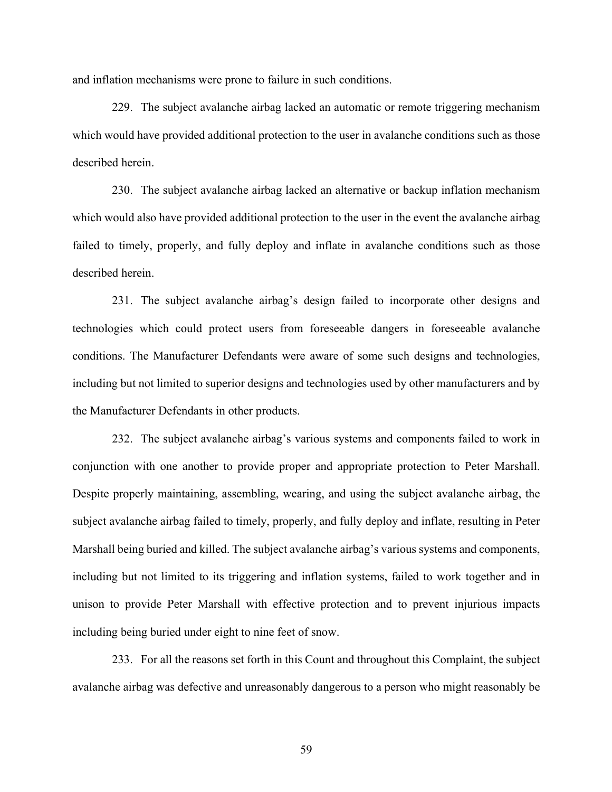and inflation mechanisms were prone to failure in such conditions.

229. The subject avalanche airbag lacked an automatic or remote triggering mechanism which would have provided additional protection to the user in avalanche conditions such as those described herein.

230. The subject avalanche airbag lacked an alternative or backup inflation mechanism which would also have provided additional protection to the user in the event the avalanche airbag failed to timely, properly, and fully deploy and inflate in avalanche conditions such as those described herein.

231. The subject avalanche airbag's design failed to incorporate other designs and technologies which could protect users from foreseeable dangers in foreseeable avalanche conditions. The Manufacturer Defendants were aware of some such designs and technologies, including but not limited to superior designs and technologies used by other manufacturers and by the Manufacturer Defendants in other products.

232. The subject avalanche airbag's various systems and components failed to work in conjunction with one another to provide proper and appropriate protection to Peter Marshall. Despite properly maintaining, assembling, wearing, and using the subject avalanche airbag, the subject avalanche airbag failed to timely, properly, and fully deploy and inflate, resulting in Peter Marshall being buried and killed. The subject avalanche airbag's various systems and components, including but not limited to its triggering and inflation systems, failed to work together and in unison to provide Peter Marshall with effective protection and to prevent injurious impacts including being buried under eight to nine feet of snow.

233. For all the reasons set forth in this Count and throughout this Complaint, the subject avalanche airbag was defective and unreasonably dangerous to a person who might reasonably be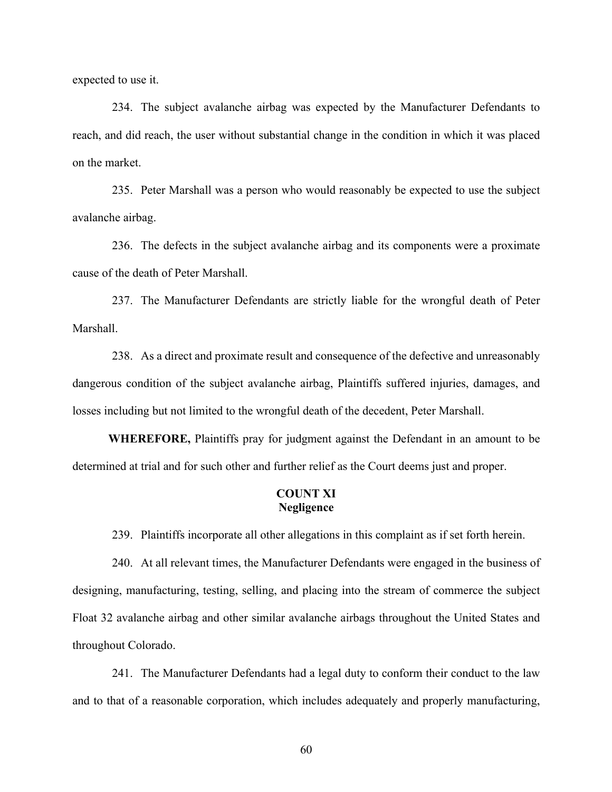expected to use it.

234. The subject avalanche airbag was expected by the Manufacturer Defendants to reach, and did reach, the user without substantial change in the condition in which it was placed on the market.

235. Peter Marshall was a person who would reasonably be expected to use the subject avalanche airbag.

236. The defects in the subject avalanche airbag and its components were a proximate cause of the death of Peter Marshall.

237. The Manufacturer Defendants are strictly liable for the wrongful death of Peter Marshall.

238. As a direct and proximate result and consequence of the defective and unreasonably dangerous condition of the subject avalanche airbag, Plaintiffs suffered injuries, damages, and losses including but not limited to the wrongful death of the decedent, Peter Marshall.

**WHEREFORE,** Plaintiffs pray for judgment against the Defendant in an amount to be determined at trial and for such other and further relief as the Court deems just and proper.

# **COUNT XI Negligence**

239. Plaintiffs incorporate all other allegations in this complaint as if set forth herein.

240. At all relevant times, the Manufacturer Defendants were engaged in the business of designing, manufacturing, testing, selling, and placing into the stream of commerce the subject Float 32 avalanche airbag and other similar avalanche airbags throughout the United States and throughout Colorado.

241. The Manufacturer Defendants had a legal duty to conform their conduct to the law and to that of a reasonable corporation, which includes adequately and properly manufacturing,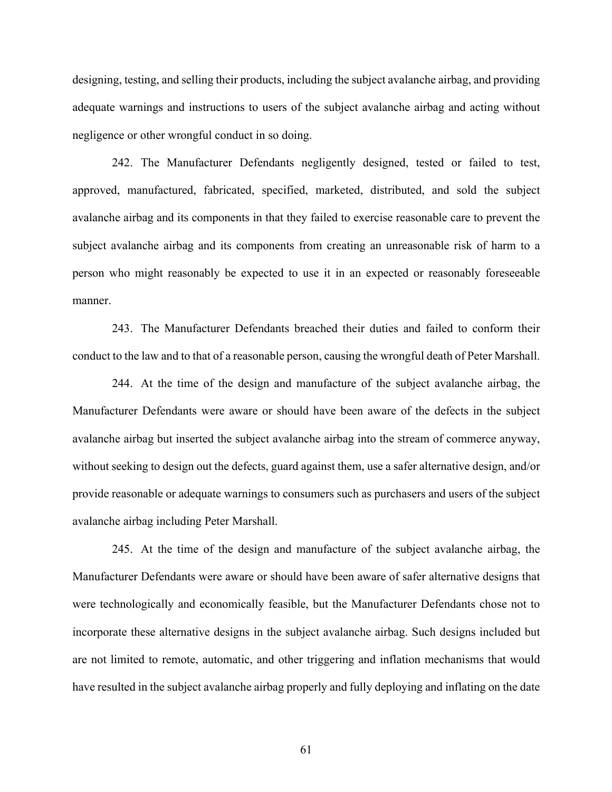designing, testing, and selling their products, including the subject avalanche airbag, and providing adequate warnings and instructions to users of the subject avalanche airbag and acting without negligence or other wrongful conduct in so doing.

242. The Manufacturer Defendants negligently designed, tested or failed to test, approved, manufactured, fabricated, specified, marketed, distributed, and sold the subject avalanche airbag and its components in that they failed to exercise reasonable care to prevent the subject avalanche airbag and its components from creating an unreasonable risk of harm to a person who might reasonably be expected to use it in an expected or reasonably foreseeable manner.

243. The Manufacturer Defendants breached their duties and failed to conform their conduct to the law and to that of a reasonable person, causing the wrongful death of Peter Marshall.

244. At the time of the design and manufacture of the subject avalanche airbag, the Manufacturer Defendants were aware or should have been aware of the defects in the subject avalanche airbag but inserted the subject avalanche airbag into the stream of commerce anyway, without seeking to design out the defects, guard against them, use a safer alternative design, and/or provide reasonable or adequate warnings to consumers such as purchasers and users of the subject avalanche airbag including Peter Marshall.

245. At the time of the design and manufacture of the subject avalanche airbag, the Manufacturer Defendants were aware or should have been aware of safer alternative designs that were technologically and economically feasible, but the Manufacturer Defendants chose not to incorporate these alternative designs in the subject avalanche airbag. Such designs included but are not limited to remote, automatic, and other triggering and inflation mechanisms that would have resulted in the subject avalanche airbag properly and fully deploying and inflating on the date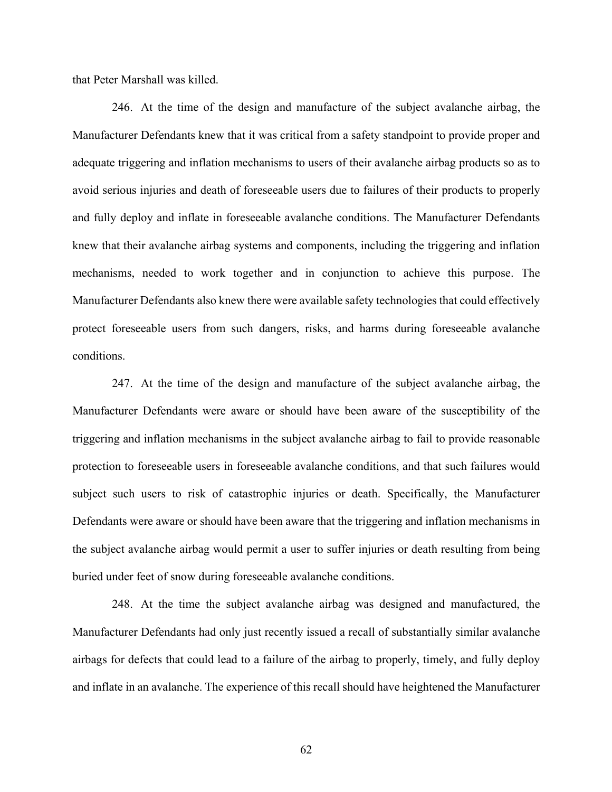that Peter Marshall was killed.

246. At the time of the design and manufacture of the subject avalanche airbag, the Manufacturer Defendants knew that it was critical from a safety standpoint to provide proper and adequate triggering and inflation mechanisms to users of their avalanche airbag products so as to avoid serious injuries and death of foreseeable users due to failures of their products to properly and fully deploy and inflate in foreseeable avalanche conditions. The Manufacturer Defendants knew that their avalanche airbag systems and components, including the triggering and inflation mechanisms, needed to work together and in conjunction to achieve this purpose. The Manufacturer Defendants also knew there were available safety technologies that could effectively protect foreseeable users from such dangers, risks, and harms during foreseeable avalanche conditions.

247. At the time of the design and manufacture of the subject avalanche airbag, the Manufacturer Defendants were aware or should have been aware of the susceptibility of the triggering and inflation mechanisms in the subject avalanche airbag to fail to provide reasonable protection to foreseeable users in foreseeable avalanche conditions, and that such failures would subject such users to risk of catastrophic injuries or death. Specifically, the Manufacturer Defendants were aware or should have been aware that the triggering and inflation mechanisms in the subject avalanche airbag would permit a user to suffer injuries or death resulting from being buried under feet of snow during foreseeable avalanche conditions.

248. At the time the subject avalanche airbag was designed and manufactured, the Manufacturer Defendants had only just recently issued a recall of substantially similar avalanche airbags for defects that could lead to a failure of the airbag to properly, timely, and fully deploy and inflate in an avalanche. The experience of this recall should have heightened the Manufacturer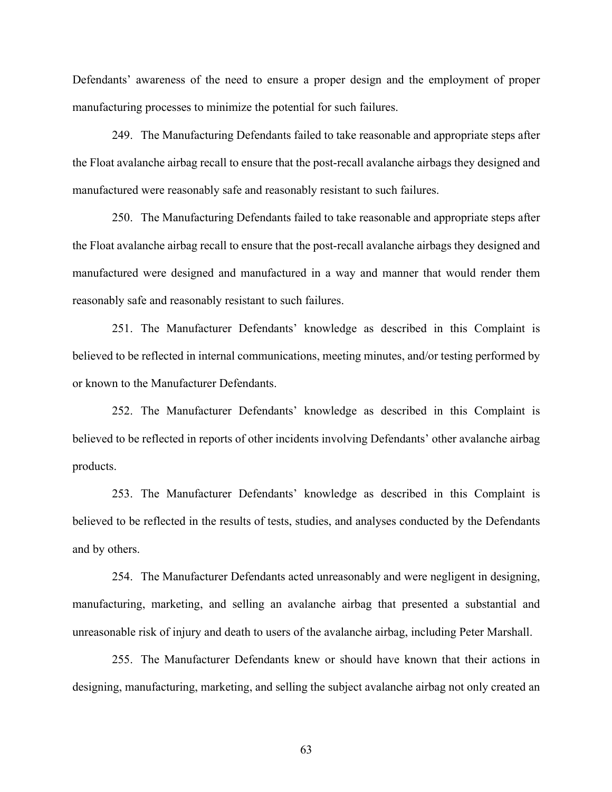Defendants' awareness of the need to ensure a proper design and the employment of proper manufacturing processes to minimize the potential for such failures.

249. The Manufacturing Defendants failed to take reasonable and appropriate steps after the Float avalanche airbag recall to ensure that the post-recall avalanche airbags they designed and manufactured were reasonably safe and reasonably resistant to such failures.

250. The Manufacturing Defendants failed to take reasonable and appropriate steps after the Float avalanche airbag recall to ensure that the post-recall avalanche airbags they designed and manufactured were designed and manufactured in a way and manner that would render them reasonably safe and reasonably resistant to such failures.

251. The Manufacturer Defendants' knowledge as described in this Complaint is believed to be reflected in internal communications, meeting minutes, and/or testing performed by or known to the Manufacturer Defendants.

252. The Manufacturer Defendants' knowledge as described in this Complaint is believed to be reflected in reports of other incidents involving Defendants' other avalanche airbag products.

253. The Manufacturer Defendants' knowledge as described in this Complaint is believed to be reflected in the results of tests, studies, and analyses conducted by the Defendants and by others.

254. The Manufacturer Defendants acted unreasonably and were negligent in designing, manufacturing, marketing, and selling an avalanche airbag that presented a substantial and unreasonable risk of injury and death to users of the avalanche airbag, including Peter Marshall.

255. The Manufacturer Defendants knew or should have known that their actions in designing, manufacturing, marketing, and selling the subject avalanche airbag not only created an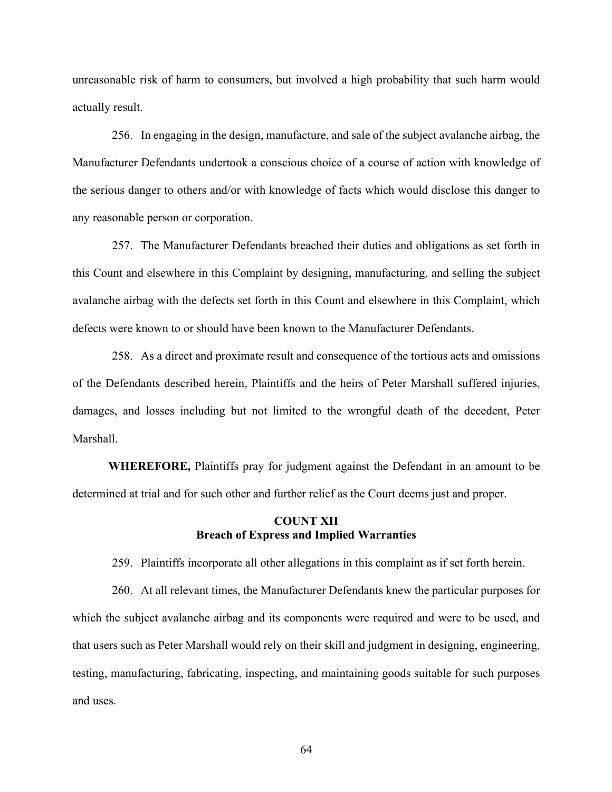unreasonable risk of harm to consumers, but involved a high probability that such harm would actually result.

256. In engaging in the design, manufacture, and sale of the subject avalanche airbag, the Manufacturer Defendants undertook a conscious choice of a course of action with knowledge of the serious danger to others and/or with knowledge of facts which would disclose this danger to any reasonable person or corporation.

257. The Manufacturer Defendants breached their duties and obligations as set forth in this Count and elsewhere in this Complaint by designing, manufacturing, and selling the subject avalanche airbag with the defects set forth in this Count and elsewhere in this Complaint, which defects were known to or should have been known to the Manufacturer Defendants.

258. As a direct and proximate result and consequence of the tortious acts and omissions of the Defendants described herein, Plaintiffs and the heirs of Peter Marshall suffered injuries, damages, and losses including but not limited to the wrongful death of the decedent, Peter Marshall.

**WHEREFORE,** Plaintiffs pray for judgment against the Defendant in an amount to be determined at trial and for such other and further relief as the Court deems just and proper.

# **COUNT XII Breach of Express and Implied Warranties**

259. Plaintiffs incorporate all other allegations in this complaint as if set forth herein.

260. At all relevant times, the Manufacturer Defendants knew the particular purposes for which the subject avalanche airbag and its components were required and were to be used, and that users such as Peter Marshall would rely on their skill and judgment in designing, engineering, testing, manufacturing, fabricating, inspecting, and maintaining goods suitable for such purposes and uses.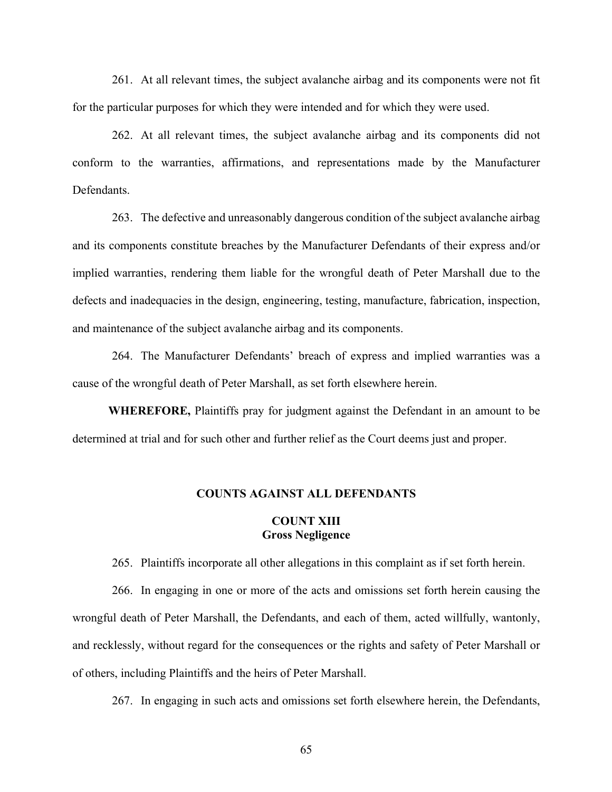261. At all relevant times, the subject avalanche airbag and its components were not fit for the particular purposes for which they were intended and for which they were used.

262. At all relevant times, the subject avalanche airbag and its components did not conform to the warranties, affirmations, and representations made by the Manufacturer Defendants.

263. The defective and unreasonably dangerous condition of the subject avalanche airbag and its components constitute breaches by the Manufacturer Defendants of their express and/or implied warranties, rendering them liable for the wrongful death of Peter Marshall due to the defects and inadequacies in the design, engineering, testing, manufacture, fabrication, inspection, and maintenance of the subject avalanche airbag and its components.

264. The Manufacturer Defendants' breach of express and implied warranties was a cause of the wrongful death of Peter Marshall, as set forth elsewhere herein.

**WHEREFORE,** Plaintiffs pray for judgment against the Defendant in an amount to be determined at trial and for such other and further relief as the Court deems just and proper.

## **COUNTS AGAINST ALL DEFENDANTS**

## **COUNT XIII Gross Negligence**

265. Plaintiffs incorporate all other allegations in this complaint as if set forth herein.

266. In engaging in one or more of the acts and omissions set forth herein causing the wrongful death of Peter Marshall, the Defendants, and each of them, acted willfully, wantonly, and recklessly, without regard for the consequences or the rights and safety of Peter Marshall or of others, including Plaintiffs and the heirs of Peter Marshall.

267. In engaging in such acts and omissions set forth elsewhere herein, the Defendants,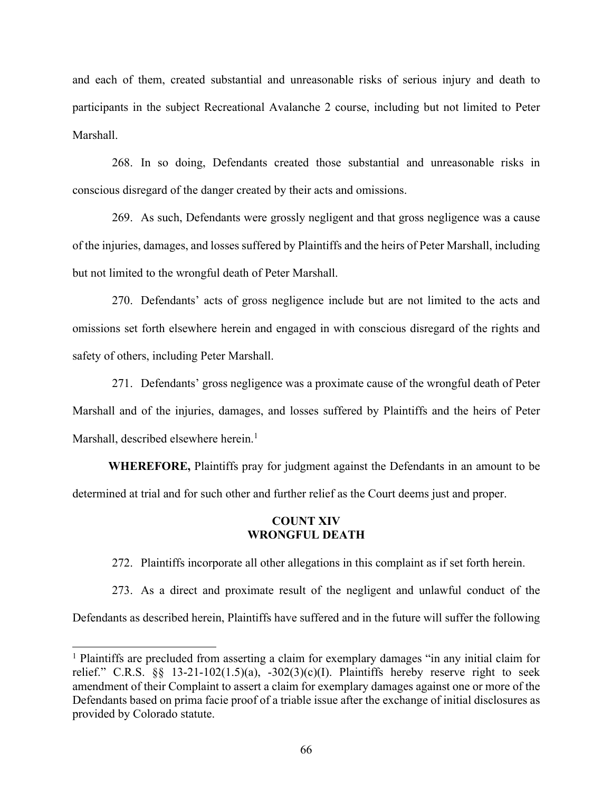and each of them, created substantial and unreasonable risks of serious injury and death to participants in the subject Recreational Avalanche 2 course, including but not limited to Peter Marshall.

268. In so doing, Defendants created those substantial and unreasonable risks in conscious disregard of the danger created by their acts and omissions.

269. As such, Defendants were grossly negligent and that gross negligence was a cause of the injuries, damages, and losses suffered by Plaintiffs and the heirs of Peter Marshall, including but not limited to the wrongful death of Peter Marshall.

270. Defendants' acts of gross negligence include but are not limited to the acts and omissions set forth elsewhere herein and engaged in with conscious disregard of the rights and safety of others, including Peter Marshall.

271. Defendants' gross negligence was a proximate cause of the wrongful death of Peter Marshall and of the injuries, damages, and losses suffered by Plaintiffs and the heirs of Peter Marshall, described elsewhere herein.<sup>1</sup>

**WHEREFORE,** Plaintiffs pray for judgment against the Defendants in an amount to be determined at trial and for such other and further relief as the Court deems just and proper.

## **COUNT XIV WRONGFUL DEATH**

272. Plaintiffs incorporate all other allegations in this complaint as if set forth herein.

273. As a direct and proximate result of the negligent and unlawful conduct of the Defendants as described herein, Plaintiffs have suffered and in the future will suffer the following

<sup>&</sup>lt;sup>1</sup> Plaintiffs are precluded from asserting a claim for exemplary damages "in any initial claim for relief." C.R.S.  $\S$  13-21-102(1.5)(a), -302(3)(c)(I). Plaintiffs hereby reserve right to seek amendment of their Complaint to assert a claim for exemplary damages against one or more of the Defendants based on prima facie proof of a triable issue after the exchange of initial disclosures as provided by Colorado statute.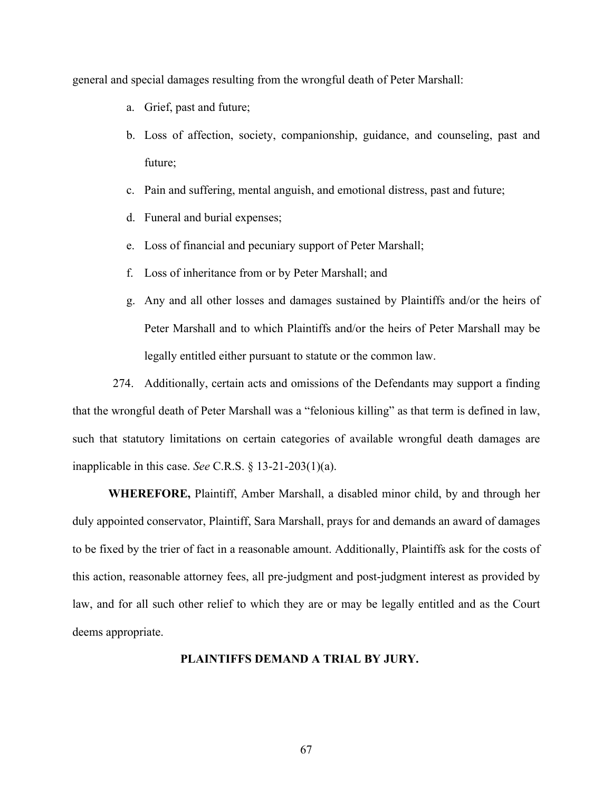general and special damages resulting from the wrongful death of Peter Marshall:

- a. Grief, past and future;
- b. Loss of affection, society, companionship, guidance, and counseling, past and future;
- c. Pain and suffering, mental anguish, and emotional distress, past and future;
- d. Funeral and burial expenses;
- e. Loss of financial and pecuniary support of Peter Marshall;
- f. Loss of inheritance from or by Peter Marshall; and
- g. Any and all other losses and damages sustained by Plaintiffs and/or the heirs of Peter Marshall and to which Plaintiffs and/or the heirs of Peter Marshall may be legally entitled either pursuant to statute or the common law.

274. Additionally, certain acts and omissions of the Defendants may support a finding that the wrongful death of Peter Marshall was a "felonious killing" as that term is defined in law, such that statutory limitations on certain categories of available wrongful death damages are inapplicable in this case. *See* C.R.S. § 13-21-203(1)(a).

**WHEREFORE,** Plaintiff, Amber Marshall, a disabled minor child, by and through her duly appointed conservator, Plaintiff, Sara Marshall, prays for and demands an award of damages to be fixed by the trier of fact in a reasonable amount. Additionally, Plaintiffs ask for the costs of this action, reasonable attorney fees, all pre-judgment and post-judgment interest as provided by law, and for all such other relief to which they are or may be legally entitled and as the Court deems appropriate.

#### **PLAINTIFFS DEMAND A TRIAL BY JURY.**